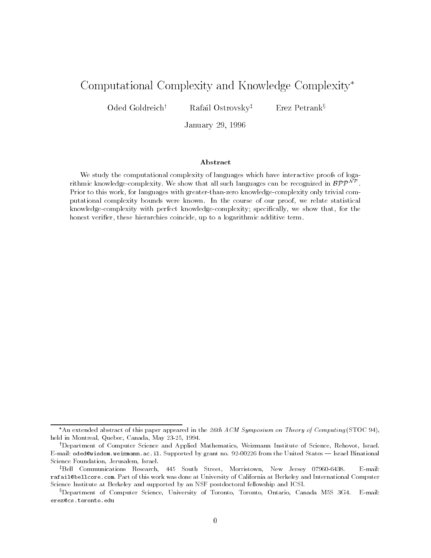# Computational Complexity and Knowledge Complexity

Oded Goldreich<sup>†</sup> Rafail Ostrovsky<sup>‡</sup> Erez Petrank<sup>§</sup>

January -

### Abstract

We study the computational complexity of languages which have interactive proofs of logarithmic knowledge-complexity. We show that all such languages can be recognized in  $\mathcal{BPP}^{\ast\ast}$  . Prior to this work- for languages with greaterthanzero knowledgecomplexity only trivial computational complexity bounds were known In the course of our proof- we relate statisticalknowledgecomplexity with perfect knowledgecomplexity specically- we show that- for thehonest verier- these hierarchies coincide- up to a logarithmic additive term

An extended abstract of this paper appeared in the 26th ACM Symposium on Theory of Computing (STOC 94), held in Montreal Quebec Captain May 1999, 200 1999, 200 199

<sup>&</sup>lt;sup>†</sup>Department of Computer Science and Applied Mathematics, Weizmann Institute of Science, Rehovot, Israel. Email odedwisdomweizmannacil Supported by grant no 
 from the United States Israel Binational Science Foundation, Jerusalem, Israel.

<sup>&</sup>quot;Bell Communications Research, 445 South Street, Morristown, New Jersey 07960-6438. E-mail: rafailbellcorecom Part of this work was done at University of California at Berkeley and International Computer Science Institute at Berkeley and supported by an NSF postdoctoral fellowship and ICSI

Department of Computer Science, University of Toronto, Toronto, Ontario, Canada M5S 3G4. - E-mail: • erez@cs.toronto.edu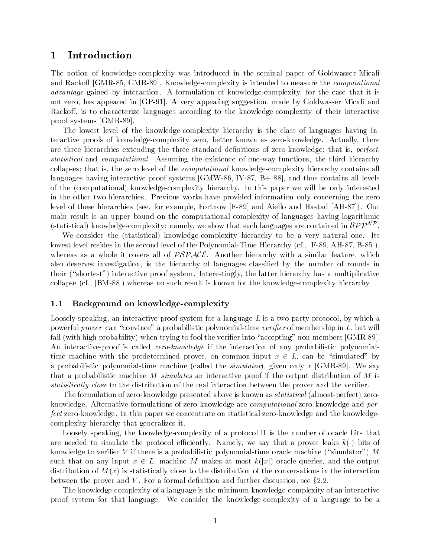## Introduction

The notion of knowledge-complexity was introduced in the seminal paper of Goldwasser Micali and contents produced the Godpart Copy is intended to measure the computation is intended the computation of th advantage gained by interaction. A formulation of knowledge-complexity, for the case that it is not zero has appeared in GP A very appealing suggestion made by Goldwasser Micali and Racko- is to characterize languages according to the knowledgecomplexity of their interactive proof systems [GMR-89].

The lowest level of the knowledge-complexity hierarchy is the class of languages having interactive proofs of knowledge-complexity zero, better known as zero-knowledge. Actually, there are three hierarchies extending the three standard definitions of zero-knowledge; that is, *perfect*. statistical and computational. Assuming the existence of one-way functions, the third hierarchy collapses; that is, the zero level of the *computational* knowledge-complexity hierarchy contains all languages having interactive proof systems  $[GMW-86, IV-87, B+88]$ , and thus contains all levels of the (computational) knowledge-complexity hierarchy. In this paper we will be only interested in the other two hierarchies. Previous works have provided information only concerning the zero level of these hierarchies (see, for example, Fortnow  $F-89$ ) and Aiello and Hastad  $[AH-87]$ ). Our main result is an upper bound on the computational complexity of languages having logarithmic (statistical) knowledge-complexity; namely, we show that such languages are contained in  ${\cal BPP^{\ast\ast}}$  .

We consider the (statistical) knowledge-complexity hierarchy to be a very natural one. Its lowest level resides in the second level of the Polynomial-Time Hierarchy (cf.,  $[F-89, AH-87, B-85]$ ). whereas as a whole it covers all of  $PSPACE$ . Another hierarchy with a similar feature, which also deserves investigation, is the hierarchy of languages classified by the number of rounds in their ("shortest") interactive proof system. Interestingly, the latter hierarchy has a multiplicative collapse (cf.,  $[BM-88]$ ) whereas no such result is known for the knowledge-complexity hierarchy.

### Background on knowledge-complexity

Loosely speaking, an interactive-proof system for a language  $L$  is a two-party protocol, by which a powerful prover can "convince" a probabilistic polynomial-time verifier of membership in  $L$ , but will fail (with high probability) when trying to fool the verifier into "accepting" non-members  $\lceil GMR-89 \rceil$ . An interactive-proof is called *zero-knowledge* if the interaction of any probabilistic polynomialtime machine with the predetermined prover, on common input  $x \in L$ , can be "simulated" by a probabilistic polynomial-time machine (called the *simulator*), given only x [GMR-89]. We say that a probabilistic machine M simulates an interactive proof if the output distribution of M is statistically close to the distribution of the real interaction between the prover and the verifier.

The formulation of zero-knowledge presented above is known as *statistical* (almost-perfect) zeroknowledge. Alternative formulations of zero-knowledge are *computational* zero-knowledge and *perfect* zero-knowledge. In this paper we concentrate on statistical zero-knowledge and the knowledgecomplexity hierarchy that generalizes it 

Loosely speaking, the knowledge-complexity of a protocol  $\Pi$  is the number of oracle bits that are needed to simulate the protocol efficiently. Namely, we say that a prover leaks  $k(\cdot)$  bits of knowledge to verifier V if there is a probabilistic polynomial-time oracle machine ("simulator") M such that on any input  $x \in L$ , machine M makes at most  $k(|x|)$  oracle queries, and the output distribution of  $M(x)$  is statistically close to the distribution of the conversations in the interaction between the prover and V. For a formal definition and further discussion, see  $\S 2.2$ .

The knowledge-complexity of a language is the minimum knowledge-complexity of an interactive proof system for that language. We consider the knowledge-complexity of a language to be a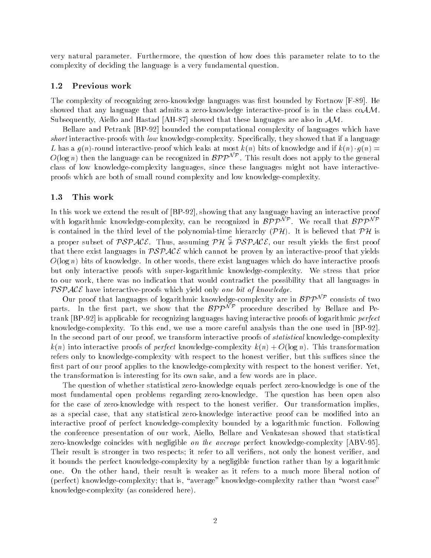very natural parameter. Furthermore, the question of how does this parameter relate to to the complexity of deciding the language is a very fundamental question 

### 1.2 Previous work

The complexity of recognizing zero-knowledge languages was first bounded by Fortnow  $[F-89]$ . He showed that any language that admits a zero-knowledge interactive-proof is in the class  $co\mathcal{AM}$ . Subsequently, Aiello and Hastad [AH-87] showed that these languages are also in  $AM$ .

Bellare and Petrank [BP-92] bounded the computational complexity of languages which have short interactive-proofs with low knowledge-complexity. Specifically, they showed that if a language L has a  $q(n)$ -round interactive-proof which leaks at most  $k(n)$  bits of knowledge and if  $k(n) \cdot q(n)$  $O(\log n)$  then the language can be recognized in  $\mathcal{BPP^{NP}}$ . This result does not apply to the general class of low knowledge-complexity languages, since these languages might not have interactiveproofs which are both of small round complexity and low knowledge-complexity.

### 1.3 This work

In this work we extend the result of  $[BP-92]$ , showing that any language having an interactive proof with logarithmic knowledge-complexity, can be recognized in  $\mathcal{BPP}^{\ast\ast}$  . We recall that  $\mathcal{BPP}^{\ast\ast}$  the second section of  $\mathcal{BPP}^{\ast}$  is a section of  $\mathcal{BPP}^{\ast}$  . is contained in the third level of the polynomial-time hierarchy  $(\mathcal{PH})$ . It is believed that  $\mathcal{PH}$  is a proper subset of  $\mathcal{PSPACE}$ . Thus, assuming  $\mathcal{PHE} \not\in \mathcal{PSPACE}$ , our result yields the first proof that there exist languages in  $PSPACE$  which cannot be proven by an interactive-proof that yields  $O(\log n)$  bits of knowledge. In other words, there exist languages which do have interactive proofs but only interactive proofs with super-logarithmic knowledge-complexity. We stress that prior to our work there was no indication that would contradict the possibility that all languages in  $PSPACE$  have interactive-proofs which yield only one bit of knowledge.

Our proof that languages of logarithmic knowledge-complexity are in  $\mathcal{BPP^{NP}}$  consists of two parts. In the first part, we show that the  $\mathcal{BPPN}^{\tilde{\mathcal{P}}}$  procedure described by Bellare and Petrank [BP-92] is applicable for recognizing languages having interactive proofs of logarithmic *perfect* knowledge-complexity. To this end, we use a more careful analysis than the one used in  $[BP-92]$ . In the second part of our proof, we transform interactive proofs of *statistical* knowledge-complexity  $k(n)$  into interactive proofs of perfect knowledge-complexity  $k(n) + O(\log n)$ . This transformation refers only to knowledge-complexity with respect to the honest verifier, but this suffices since the first part of our proof applies to the knowledge-complexity with respect to the honest verifier. Yet. the transformation is interesting for its own sake, and a few words are in place.

The question of whether statistical zeroknowledge equals perfect zeroknowledge is one of the most fundamental open problems regarding zero-knowledge. The question has been open also for the case of zero-knowledge with respect to the honest verifier. Our transformation implies, as a special case, that any statistical zero-knowledge interactive proof can be modified into an interactive proof of perfect knowledge-complexity bounded by a logarithmic function. Following the conference presentation of our work, Aiello, Bellare and Venkatesan showed that statistical zero-knowledge coincides with negligible on the average perfect knowledge-complexity  $[ABV-95]$ . Their result is stronger in two respects; it refer to all verifiers, not only the honest verifier, and it bounds the perfect knowledge-complexity by a negligible function rather than by a logarithmic one. On the other hand, their result is weaker as it refers to a much more liberal notion of (perfect) knowledge-complexity; that is, "average" knowledge-complexity rather than "worst case" knowledge-complexity (as considered here).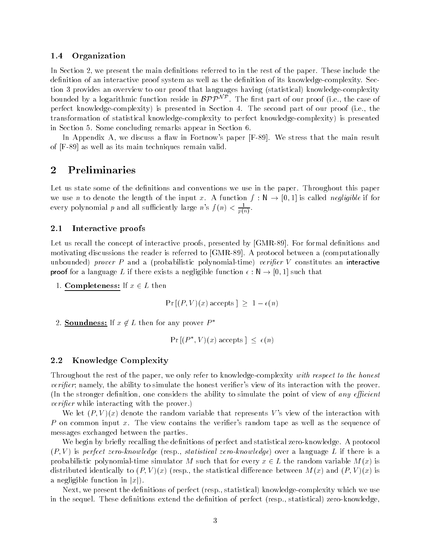### Organization

In Section 2, we present the main definitions referred to in the rest of the paper. These include the definition of an interactive proof system as well as the definition of its knowledge-complexity. Section 3 provides an overview to our proof that languages having (statistical) knowledge-complexity bounded by a logarithmic function reside in  $\mathcal{BPP}^{\mathcal{NP}}$ . The first part of our proof (i.e., the case of perfect knowledge-complexity) is presented in Section 4. The second part of our proof (i.e., the transformation of statistical knowledge-complexity to perfect knowledge-complexity) is presented in Section 5. Some concluding remarks appear in Section 6.

In Appendix A, we discuss a flaw in Fortnow's paper [F-89]. We stress that the main result of  $[F-89]$  as well as its main techniques remain valid.

## 2 Preliminaries

Let us state some of the definitions and conventions we use in the paper. Throughout this paper we use it is called the length of the input we are functioned for a function for  $\alpha$  is  $\alpha$ every polynomial  $p$  and all sumclently large  $n$  s  $f(n) < \frac{1}{p(n)}$ .

### 2.1 Interactive proofs

Let us recall the concept of interactive proofs, presented by [GMR-89]. For formal definitions and motivating discussions the reader is referred to  $\lbrack \text{GMR-89} \rbrack$ . A protocol between a (computationally unbounded) prover P and a (probabilistic polynomial-time) verifier V constitutes an interactive proof for a language L if there exists a negligible function - N - such that

complete the second in the second contract of the second contract of the second contract of the second contract of the second contract of the second contract of the second contract of the second contract of the second cont

PP P V 2020 2020 2021 2021 2022 2023 2024 2022 2023 2024 2022 2023 2024 2022 2023 2024 2022 2023 2024 2023 20

2. Soundness: If  $x \notin L$  then for any prover  $P^*$ 

$$
Pr[(P^*, V)(x) accepts] \leq \epsilon(n)
$$

### 2.2 Knowledge Complexity

Throughout the rest of the paper, we only refer to knowledge-complexity with respect to the honest *verifier*; namely, the ability to simulate the honest verifier's view of its interaction with the prover. In the stronger denition one considers the ability to simulate the point of view of any e-cient *verifier* while interacting with the prover.)

We let  $(P, V)(x)$  denote the random variable that represents V's view of the interaction with P on common input  $x$ . The view contains the verifier's random tape as well as the sequence of messages exchanged between the parties 

We begin by briefly recalling the definitions of perfect and statistical zero-knowledge. A protocol  $(P, V)$  is perfect zero-knowledge (resp., statistical zero-knowledge) over a language L if there is a probabilistic polynomial-time simulator M such that for every  $x \in L$  the random variable  $M(x)$  is distributed identically to P V x responsion and the statistical distribution and P V  $\mu$  and P V  $\mu$   $\mu$ a negligible function in  $|x|$ .

Next, we present the definitions of perfect (resp., statistical) knowledge-complexity which we use in the sequel. These definitions extend the definition of perfect (resp., statistical) zero-knowledge.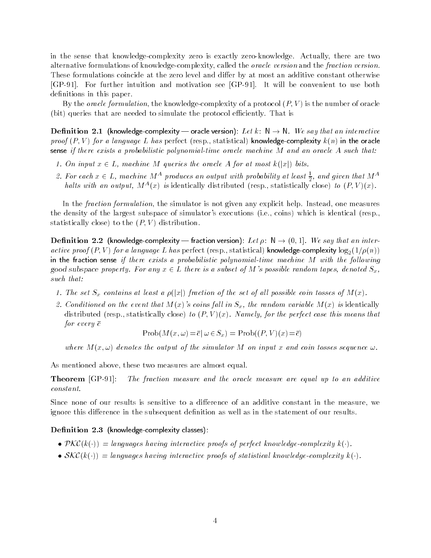in the sense that knowledge-complexity zero is exactly zero-knowledge. Actually, there are two alternative formulations of knowledge-complexity, called the *oracle version* and the *fraction version*. These formulations coincide at the zero level and di-er by at most an additive constant otherwise it and further intuition and motivation seems and the convenient to use and the seeds of the convenient to use definitions in this paper.

By the *oracle formulation*, the knowledge-complexity of a protocol  $(P, V)$  is the number of oracle (bit) queries that are needed to simulate the protocol efficiently. That is

oracle version - interactive version - interactive version Let k N we say that an interactive version - interactive proof  $(P, V)$  for a language L has perfect (resp., statistical) knowledge-complexity  $k(n)$  in the oracle sense if there exists a probabilistic polynomial-time oracle machine  $M$  and an oracle  $A$  such that:

- 1. On input  $x \in L$ , machine M queries the oracle A for at most  $k(|x|)$  bits.
- 2. For each  $x \in L$ , machine M  $\cap$  produces an output with probability at least  $\frac{1}{2}$ , and qiven that M  $\cap$ halts with an output,  $M^{A}(x)$  is identically distributed (resp., statistically close) to  $(P, V)(x)$ .

In the *fraction formulation*, the simulator is not given any explicit help. Instead, one measures the density of the largest subspace of simulator's executions (i.e., coins) which is identical (resp. statistically close) to the  $(P, V)$  distribution.

denition - fraction - fraction - fraction - fraction - fraction - fraction - fraction - fraction - fraction - f active proof P V for a language L has perfect resp statistical knowledgecomplexity log n in the fraction sense if there exists a probabilistic polynomial-time machine  $M$  with the following good subspace property. For any  $x \in L$  there is a subset of Ms s possible random tapes, denoted  $S_x$ , such that:

- 1. The set  $S_x$  contains at least a  $\rho(|x|)$  fraction of the set of all possible coin tosses of  $M(x)$ .
- 2. Conditioned on the event that  $M(x)$ 's coins fall in  $S_x$ , the random variable  $M(x)$  is identically distributed (resp., statistically close) to  $(P, V)(x)$ . Namely, for the perfect case this means that for every  $\bar{c}$

$$
Prob(M(x,\omega) = \overline{c} | \omega \in S_x) = Prob((P, V)(x) = \overline{c})
$$

where  $M(x, \omega)$  denotes the output of the simulator M on input x and coin tosses sequence  $\omega$ .

As mentioned above, these two measures are almost equal.

Theorem [GP-91]: The fraction measure and the oracle measure are equal up to an additive constant.

Since none of our results is sensitive to a di-erence of an additive constant in the measure we ignore this di-erence in the subsequent denition as well as in the statement of our results 

### Denition - knowledgecomplexity classes

- $\mathcal{P}\mathcal{KC}(k(\cdot)) =$  languages having interactive proofs of perfect knowledge-complexity  $k(\cdot)$ .
- $\mathcal{SKC}(k(\cdot)) =$  languages having interactive proofs of statistical knowledge-complexity  $k(\cdot)$ .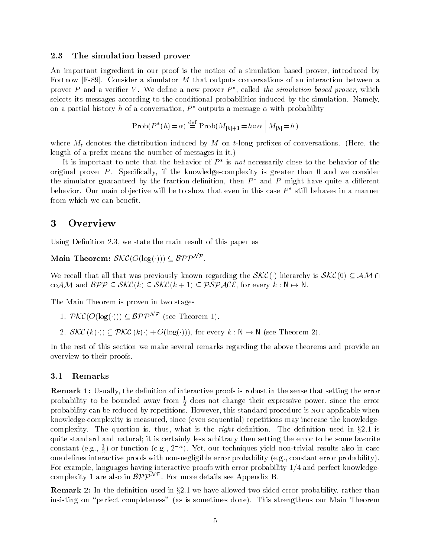### 2.3 The simulation based prover

An important ingredient in our proof is the notion of a simulation based prover, introduced by Fortnow  $[F-89]$ . Consider a simulator M that outputs conversations of an interaction between a prover  $P$  and a verifier  $V$  . We define a new prover  $P$  , called *the simulation based prover*, which selects its messages according to the conditional probabilities induced by the simulation. Namely, on a partial history h of a conversation,  $P^*$  outputs a message  $\alpha$  with probability

$$
\operatorname{Prob}(P^*(h) = \alpha) \stackrel{\text{def}}{=} \operatorname{Prob}(M_{|h|+1} = h \circ \alpha \mid M_{|h|} = h)
$$

where  $M_t$  denotes the distribution induced by M on t-long prefixes of conversations. (Here, the length of a prefix means the number of messages in it.)

It is important to note that the behavior of  $P$  is not necessarily close to the behavior of the  $P$ original prover  $P$ . Specifically, if the knowledge-complexity is greater than 0 and we consider the simulator guaranteed by the fraction dennition, then  $P$  -and  $P$  imight have quite a different behavior. Our main objective will be to show that even in this case  $P$  -still behaves in a manner  $\blacksquare$ from which we can benefit.

### **Overview** 3

Using Definition 2.3, we state the main result of this paper as

Main Theorem:  $\mathcal{SAC}(O(\log(\cdot))) \subseteq \mathcal{BPP}$ 

We recall that all that was previously known regarding the  $\mathcal{SKC}(\cdot)$  hierarchy is  $\mathcal{SKC}(0) \subseteq \mathcal{AM} \cap$ complete the state of the state of the state of the state of the state of the state of the state of the state o

The Main Theorem is proven in two stages

- 1.  $PAC(O(log(\cdot))) \subseteq BPP^{**}$  (see Theorem 1).
- sk wie in die deur in die Indiëlande gebou. Dit was die deur die eerste stelling van die deur die deur die eer

In the rest of this section we make several remarks regarding the above theorems and provide an overview to their proofs 

### Remarks

Remark 1: Usually, the definition of interactive proofs is robust in the sense that setting the error probability to be bounded away from  $\frac{1}{2}$  does not change their expressive power, since the error probability can be reduced by repetitions. However, this standard procedure is NOT applicable when knowledge-complexity is measured, since (even sequential) repetitions may increase the knowledgecomplexity the question is the complexity of the denition is the denition used in  $\mathcal{A}$ quite standard and natural; it is certainly less arbitrary then setting the error to be some favorite constant (e.g.,  $\frac{1}{2}$ ) or function (e.g., 2 °). Yet, our techniques yield non-trivial results also in case  $\tilde{\phantom{a}}$ one denes interactive probability probability extension  $\rho$  constant error probability extension  $\rho$ For example languages having interactive proofs with error probability and perfect knowledge complexity 1 are also in  $\mathcal{BPP}^{\ast\ast}$  . For more details see Appendix B.

Remark - In the denition used in x we have allowed twosided error probability rather than insisting on "perfect completeness" (as is sometimes done). This strengthens our Main Theorem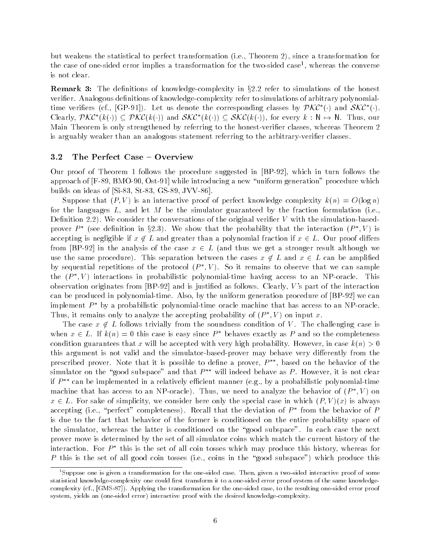but weakens the statistical to perfect transformation (i.e., Theorem 2), since a transformation for the case of onesided error implies a transformation for the twosided case whereas the converse is not clear 

**Remark 3:** The definitions of knowledge-complexity in  $\S 2.2$  refer to simulations of the honest verifier. Analogous definitions of knowledge-complexity refer to simulations of arbitrary polynomialtime veriners (cf.,  $|\sigma_{\rm F}$ -91]). Let us denote the corresponding classes by  $P\Lambda C$  () and  $\delta\Lambda C$  (). Clearly, PAC  $\kappa(\cdot)$   $\in$  PAC $\kappa(\cdot)$  and SAC  $\kappa(\cdot)$   $\in$  SAC $\kappa(\cdot)$ , for every  $\kappa$  :  $\mathsf{N} \mapsto \mathsf{N}$ . Thus, our Main Theorem is only strengthened by referring to the honest-verifier classes, whereas Theorem 2 is arguably weaker than an analogous statement referring to the arbitrary-verifier classes.

#### $3.2$ The Perfect Case - Overview

Our proof of Theorem follows the procedure suggested in BP which in turn follows the approach of F BMO Ost while introducing a new uniform generation procedure which builds on ideas of  $[Si-83, St-83, GS-89, JVV-86]$ .

Suppose that  $(P, V)$  is an interactive proof of perfect knowledge complexity  $k(n) = O(\log n)$ for the languages L, and let M be the simulator guaranteed by the fraction formulation (i.e., Definition 2.2). We consider the conversations of the original verifier V with the simulation-basedprover  $P$  (see dennition in §2.5). We snow that the probability that the interaction  $(P_-,V)$  is accepting is negligible if x L and greater than a polynomial fraction if x L Our proof di-ers from [BP-92] in the analysis of the case  $x \in L$  (and thus we get a stronger result although we use the same procedure). This separation between the cases  $x \notin L$  and  $x \in L$  can be amplified by sequential repetitions of the protocol  $(P_-, V_+)$ . So it remains to observe that we can sample the  $(P_-,V_+)$  interactions in probabilistic polynomial-time having access to an NP-oracle. This observation originates from  $[BP-92]$  and is justified as follows. Clearly, V's part of the interaction can be produced in polynomial-time. Also, by the uniform generation procedure of  $[BP-92]$  we can implement  $P^*$  by a probabilistic polynomial-time oracle machine that has access to an NP-oracle. Thus, it remains only to analyze the accepting probability of  $(F_-, V_+)$  on input x.

The case  $x \notin L$  follows trivially from the soundness condition of V. The challenging case is when  $x \in L$ . If  $k(n) = 0$  this case is easy since  $P^*$  behaves exactly as P and so the completeness condition guarantees that x will be accepted with very high probability. However, in case  $k(n) > 0$ this argument is not valid and the simulatorbasedprover may behave very di-erently from the prescribed prover. Note that it is possible to define a prover,  $P^{**}$ , based on the behavior of the simulator on the "good subspace" and that  $P^{**}$  will indeed behave as P. However, it is not clear if  $P^{**}$  can be implemented in a relatively efficient manner (e.g., by a probabilistic polynomial-time machine that has access to an INP-oracle). Thus, we need to analyze the behavior of  $(\Gamma^+,\nu^+$  on  $x \in L$ . For sake of simplicity, we consider here only the special case in which  $(P, V)(x)$  is always accepting (i.e., perfect completeness). Recall that the deviation of  $P$  from the behavior of  $P$ is due to the fact that behavior of the former is conditioned on the entire probability space of the simulator, whereas the latter is conditioned on the "good subspace". In each case the next prover move is determined by the set of all simulator coins which match the current history of the interaction. For  $P_{\perp}$  this is the set of all coin tosses which may produce this history, whereas for P this is the set of all good coin tosses (i.e., coins in the "good subspace") which produce this

Suppose one is given a transformation for the onesided case Then given a twosided interactive proof of some statistical knowledge-complexity one could first transform it to a one-sided error proof system of the same knowledgecomplexity cf GMS Applying the transformation for the onesided case to the resulting onesided error proof system, yields an (one-sided error) interactive proof with the desired knowledge-complexity.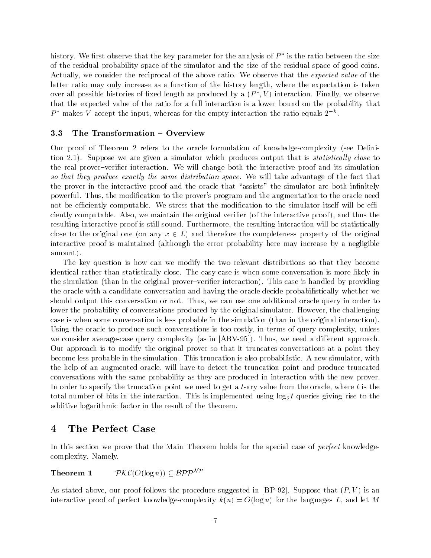mistory. We first observe that the key parameter for the analysis of  $P$  is the ratio between the size of the residual probability space of the simulator and the size of the residual space of good coins Actually, we consider the reciprocal of the above ratio. We observe that the *expected value* of the latter ratio may only increase as a function of the history length, where the expectation is taken over all possible histories of fixed length as produced by a  $(P_-,V)$  interaction. Finally, we observe that the expected value of the ratio for a full interaction is a lower bound on the probability that  $\bm{\varGamma}$  - makes  $\bm{V}$  accept the input, whereas for the empty interaction the ratio equals  $\bm{\varSigma}$  - .

### 3.3 The Transformation - Overview

Our proof of Theorem 2 refers to the oracle formulation of knowledge-complexity (see Definition we are given a simulator with given a simulator which produces output that is statistical ly close to the real prover-verifier interaction. We will change both the interactive proof and its simulation so that they produce exactly the same distribution space. We will take advantage of the fact that the prover in the interactive proof and the oracle that "assists" the simulator are both infinitely powerful. Thus, the modification to the prover's program and the augmentation to the oracle need not be efficiently computable. We stress that the modification to the simulator itself will be efficiently computable. Also, we maintain the original verifier (of the interactive proof), and thus the resulting interactive proof is still sound. Furthermore, the resulting interaction will be statistically close to the original one (on any  $x \in L$ ) and therefore the completeness property of the original interactive proof is maintained (although the error probability here may increase by a negligible amount).

The key question is how can we modify the two relevant distributions so that they become identical rather than statistically close. The easy case is when some conversation is more likely in the simulation (than in the original prover-verifier interaction). This case is handled by providing the oracle with a candidate conversation and having the oracle decide probabilistically whether we should output this conversation or not. Thus, we can use one additional oracle query in order to lower the probability of conversations produced by the original simulator. However, the challenging case is when some conversation is less probable in the simulation  $(\text{than in the original interaction}).$ Using the oracle to produce such conversations is too costly, in terms of query complexity, unless we consider a single average average as in ABV we need a di-Our approach is to modify the original prover so that it truncates conversations at a point they become less probable in the simulation. This truncation is also probabilistic. A new simulator, with the help of an augmented oracle, will have to detect the truncation point and produce truncated conversations with the same probability as they are produced in interaction with the new prover In order to specify the truncation point we need to get a t-ary value from the oracle, where t is the total number of bits interactions in the interaction  $\Gamma$  is interactions giving rise to the to the interaction of the interaction of the interactions of the interaction of the interactions of the interactions of the inte additive logarithmic factor in the result of the theorem 

## The Perfect Case

In this section we prove that the Main Theorem holds for the special case of *perfect* knowledgecomplexity. Namely,

**Theorem 1**  $\mathcal{PKC}(O(\log n)) \subseteq \mathcal{BPP^{NP}}$ 

As stated above, our proof follows the procedure suggested in  $[BP-92]$ . Suppose that  $(P, V)$  is an interactive proof of perfect knowledge-complexity  $k(n) = O(\log n)$  for the languages L, and let M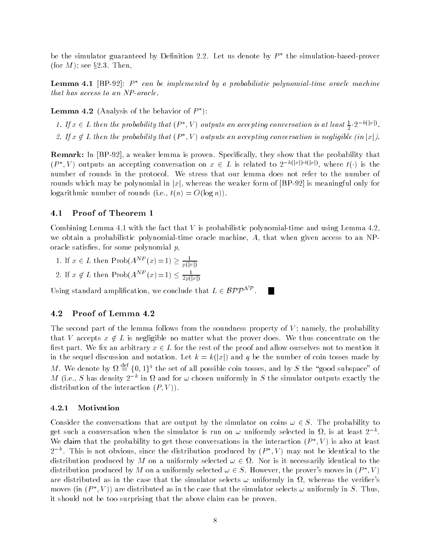be the simulator guaranteed by Dennition 2.2. Let us denote by  $P$  -the simulation-based-prover (for  $M$ ); see §2.3. Then,

**Lemma 4.1** [BP-92]:  $P^*$  can be implemented by a probabilistic polynomial-time oracle machine that has access to an  $NP$ -oracle.

**Lemma 4.2** (Analysis of the behavior of  $P$  ):

- 1. If  $x \in L$  then the probability that  $(P \setminus V)$  outputs an accepting conversation is at least  $\frac{1}{2} \cdot 2^{-\kappa(\frac{m}{2})}$ . -
- z. If  $x \notin L$  then the probability that  $\{Y \setminus V\}$  outputs an accepting conversation is negligible  $\{n \mid x\}$ .

Remark: In [BP-92], a weaker lemma is proven. Specifically, they show that the probability that  $(P^+, V)$  outputs an accepting conversation on  $x \in L$  is related to  $Z^{-\alpha_1(\omega)}$  , where  $t(\cdot)$  is the number of rounds in the protocol. We stress that our lemma does not refer to the number of rounds which may be polynomial in |x|, whereas the weaker form of [BP-92] is meaningful only for logarithmic number of rounds (i.e.,  $t(n) = O(\log n)$ ).

### 4.1 Proof of Theorem 1

 $\mathcal{L}$  . The fact that V is probabilities and using Lemma  $\mathcal{L}$  is probabilities and using Lemma is probabilities and using Lemma is probable and using Lemma is probable and using Lemma is probable and using Lemma is we obtain a probabilistic polynomial-time oracle machine,  $A$ , that when given access to an NPoracle satisfies, for some polynomial  $p$ ,

1. If  $x \in L$  then  $\text{Prob}(A^{n+1}(x) = 1) \ge \frac{1}{p(|x|)}$ 

2. If  $x \notin L$  then  $\text{Prob}(A^{N+1}(x) = 1) \leq \frac{1}{2p(|x|)}$ 

Using standard amplification, we conclude that  $L \in BPP^{**}$ .

### 4.2 Proof of Lemma 4.2

The second part of the lemma follows from the soundness property of  $V$ ; namely, the probability that V accepts  $x \notin L$  is negligible no matter what the prover does. We thus concentrate on the first part. We fix an arbitrary  $x \in L$  for the rest of the proof and allow ourselves not to mention it in the sequel discussion and notation. Let  $k = k(|x|)$  and q be the number of coin tosses made by M. We denote by  $\Omega \equiv \{0,1\}^q$  the set of all possible coin tosses, and by S the "good subspace" of  $M$  (i.e.,  $S$  has density  $Z$  – in  $\Omega$  and for  $\omega$  chosen uniformly in  $S$  the simulator outputs exactly the distribution of the interaction  $(P, V)$ .

#### 4.2.1 Motivation

Consider the conversations that are output by the simulator on coins  $\omega \in S$ . The probability to get such a conversation when the simulator is run on  $\omega$  uniformly selected in  $\imath$  , is at least  $\imath$  -  $\ldots$ We claim that the probability to get these conversations in the interaction  $(P_-, V)$  is also at least  $\mathcal{L}$  - This is not obvious, since the distribution produced by  $(P_-,V)$  may not be identical to the distribution produced by M on a uniformly selected  $\omega \in \Omega$ . Nor is it necessarily identical to the distribution produced by M on a uniformly selected  $\omega \in S$ . However, the prover's moves in  $(F_-, V_-)$ are distributed as in the case that the simulator selects  $\omega$  uniformly in  $\Omega$ , whereas the verifier's moves (in  $(F_-, V_+)$  are distributed as in the case that the simulator selects  $\omega$  uniformly in S. Thus, it should not be too surprising that the above claim can be proven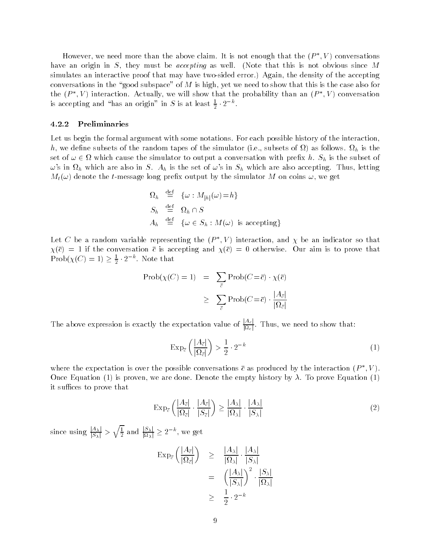However, we need more than the above claim. It is not enough that the  $(F^-, V)$  conversations have an origin in  $S$ , they must be *accepting* as well. (Note that this is not obvious since M simulates an interactive proof that may have two-sided error.) Again, the density of the accepting conversations in the "good subspace" of  $M$  is high, yet we need to show that this is the case also for the  $(P_-, V_+)$  interaction. Actually, we will show that the probability than an  $(P_-, V_+)$  conversation is accepting and "nas an origin" in  $S$  is at least  $\frac{1}{5} \cdot 2$  ".

-

### Preliminaries

Let us begin the formal argument with some notations. For each possible history of the interaction, h, we define subsets of the random tapes of the simulator (i.e., subsets of  $\Omega$ ) as follows.  $\Omega_h$  is the set of  $\omega \in \Omega$  which cause the simulator to output a conversation with prefix h.  $S_h$  is the subset of  $\omega$ 's in  $\Omega_h$  which are also in S.  $A_h$  is the set of  $\omega$ 's in  $S_h$  which are also accepting. Thus, letting  $M_t(\omega)$  denote the t-message long prefix output by the simulator M on coins  $\omega$ , we get

$$
\Omega_h \stackrel{\text{def}}{=} {\{\omega : M_{|h|}(\omega) = h\}}
$$
  
\n
$$
S_h \stackrel{\text{def}}{=} \Omega_h \cap S
$$
  
\n
$$
A_h \stackrel{\text{def}}{=} {\{\omega \in S_h : M(\omega) \text{ is accepting}\}}
$$

Let  $\epsilon$  be a random variable representing the  $(P_-,V)$  interaction, and  $\chi$  be an indicator so that conversation conversation conversation conversation conversation conversation conversation conversation conversation conversation conversation conversation conversation conversation conversation conversation conversation Prob( $\chi(U) = 1$ )  $\geq \frac{1}{2} \cdot 2^{-n}$ . Note that

$$
\begin{array}{rcl} \text{Prob}(\chi(C) = 1) & = & \sum_{\overline{c}} \text{Prob}(C = \overline{c}) \cdot \chi(\overline{c}) \\ & \geq & \sum_{\overline{c}} \text{Prob}(C = \overline{c}) \cdot \frac{|A_{\overline{c}}|}{|\Omega_{\overline{c}}|} \end{array}
$$

The above expression is exactly the expectation value of  $\frac{1-\omega}{|\Omega_c|}$ . Thus, we need to show that:

$$
\operatorname{Exp}_{\bar{c}}\left(\frac{|A_{\bar{c}}|}{|\Omega_{\bar{c}}|}\right) > \frac{1}{2} \cdot 2^{-k} \tag{1}
$$

where the expectation is over the possible conversations c as produced by the interaction  $(P_-, V)$ . Once Equation (T) is proven we are doned E included integral the exception of the exponent (T) and it suffices to prove that

$$
\operatorname{Exp}_{\bar{c}}\left(\frac{|A_{\bar{c}}|}{|\Omega_{\bar{c}}|}\cdot\frac{|A_{\bar{c}}|}{|S_{\bar{c}}|}\right) \ge \frac{|A_{\lambda}|}{|\Omega_{\lambda}|}\cdot\frac{|A_{\lambda}|}{|S_{\lambda}|}\tag{2}
$$

since using  $\frac{|A_{\lambda}|}{|S_{\lambda}|} > \sqrt{\frac{1}{2}}$  and  $\frac{|S_{\lambda}|}{|\Omega_{\lambda}|} \geq 2^{-k}$ , we get

$$
\begin{array}{rcl}\n\operatorname{Exp}_{\bar{c}}\left(\frac{|A_{\bar{c}}|}{|\Omega_{\bar{c}}|}\right) & \geq & \frac{|A_{\lambda}|}{|\Omega_{\lambda}|} \cdot \frac{|A_{\lambda}|}{|S_{\lambda}|} \\
& = & \left(\frac{|A_{\lambda}|}{|S_{\lambda}|}\right)^2 \cdot \frac{|S_{\lambda}|}{|\Omega_{\lambda}|} \\
& \geq & \frac{1}{2} \cdot 2^{-k}\n\end{array}
$$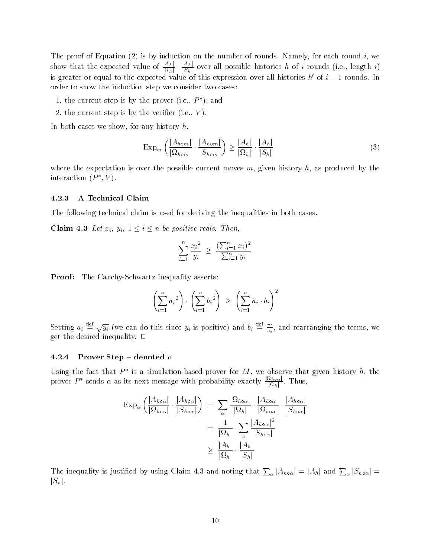The proof of Equation  $(2)$  is by induction on the number of rounds. Namely, for each round i, we show that the expected value of  $\frac{1-\mu_1}{|\Omega_h|}\cdot \frac{1-\mu_1}{|S_h|}$  over all possible histories h of  $i$  rounds (i.e., length  $i$ ) is greater or equal to the expected value of this expression over all histories  $n$  of  $i-1$  rounds. In order to show the induction step we consider two cases

- 1. The current step is by the prover (i.e.,  $F$  ); and
- 2. the current step is by the verifier (i.e.,  $V$ ).

In both cases we show, for any history  $h$ ,

$$
\operatorname{Exp}_m\left(\frac{|A_{hom}|}{|\Omega_{hom}|}\cdot\frac{|A_{hom}|}{|S_{hom}|}\right) \ge \frac{|A_h|}{|\Omega_h|}\cdot\frac{|A_h|}{|S_h|} \tag{3}
$$

where the expectation is over the possible current moves  $m$ , given history h, as produced by the interaction  $(\Gamma_-, V_+)$ .

#### 4.2.3 A Technical Claim

The following technical claim is used for deriving the inequalities in both cases 

 $\blacksquare$  . Then the positive realistic  $\blacksquare$  is the positive realistic Theory

$$
\sum_{i=1}^{n} \frac{x_i^2}{y_i} \ge \frac{\left(\sum_{i=1}^{n} x_i\right)^2}{\sum_{i=1}^{n} y_i}
$$

**Proof:** The Cauchy-Schwartz Inequality asserts:

$$
\left(\sum_{i=1}^n a_i^2\right) \cdot \left(\sum_{i=1}^n b_i^2\right) \ \ge \ \left(\sum_{i=1}^n a_i \cdot b_i\right)^2
$$

Setting  $a_i \equiv \sqrt{y_i}$  (we can do this since  $y_i$  is positive) and  $b_i \equiv \frac{x_i}{a_i}$ , and rearranging the terms, we get the desired inequality.  $\square$ 

#### 4.2.4 Prover Step - denoted  $\alpha$

Using the fact that  $P$  is a simulation-based-prover for  $M$ , we observe that given history  $n$ , the prover  $P^*$  sends  $\alpha$  as its next message with probability exactly  $\frac{1- n \alpha \alpha}{|\Omega_h|}$ . Thus,

$$
\operatorname{Exp}_{\alpha} \left( \frac{|A_{ho\alpha}|}{|\Omega_{ho\alpha}|} \cdot \frac{|A_{ho\alpha}|}{|S_{ho\alpha}|} \right) = \sum_{\alpha} \frac{|\Omega_{ho\alpha}|}{|\Omega_h|} \cdot \frac{|A_{ho\alpha}|}{|\Omega_{ho\alpha}|} \cdot \frac{|A_{ho\alpha}|}{|S_{ho\alpha}|}
$$

$$
= \frac{1}{|\Omega_h|} \cdot \sum_{\alpha} \frac{|A_{ho\alpha}|^2}{|S_{ho\alpha}|}
$$

$$
\geq \frac{|A_h|}{|\Omega_h|} \cdot \frac{|A_h|}{|S_h|}
$$

The inequality is justified by using Claim 4.3 and noting that  $\sum_\alpha |A_{h\circ\alpha}| = |A_h|$  and  $\sum_\alpha |S_{h\circ\alpha}| =$  $|S_h|$ .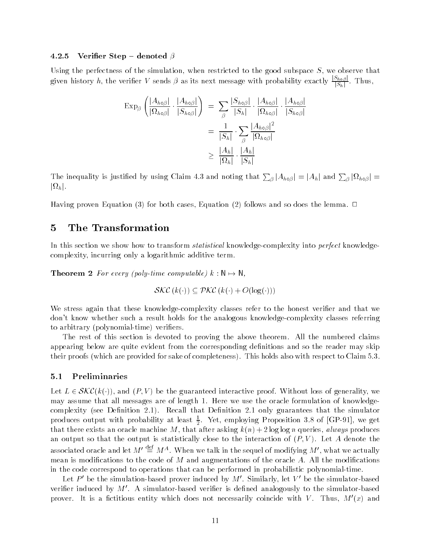#### 4.2.5 Verifier Step – denoted  $\beta$

Using the perfectness of the simulation, when restricted to the good subspace  $S$ , we observe that given history  $h,$  the verifier  $V$  sends  $\beta$  as its next message with probability exactly  $\frac{1 - h \circ \beta_1}{|S_h|}$ . Thus,

$$
\operatorname{Exp}_{\beta}\left(\frac{|A_{h\circ\beta}|}{|\Omega_{h\circ\beta}|}\cdot\frac{|A_{h\circ\beta}|}{|S_{h\circ\beta}|}\right) = \sum_{\beta} \frac{|S_{h\circ\beta}|}{|S_h|} \cdot \frac{|A_{h\circ\beta}|}{|\Omega_{h\circ\beta}|} \cdot \frac{|A_{h\circ\beta}|}{|S_{h\circ\beta}|}
$$

$$
= \frac{1}{|S_h|} \cdot \sum_{\beta} \frac{|A_{h\circ\beta}|^2}{|\Omega_{h\circ\beta}|}
$$

$$
\geq \frac{|A_h|}{|\Omega_h|} \cdot \frac{|A_h|}{|S_h|}
$$

The inequality is justified by using Claim 4.3 and noting that  $\sum_\beta |A_{h\circ\beta}| = |A_h|$  and  $\sum_\beta |\Omega_{h\circ\beta}| =$  $|\Omega_h|$ .

Having proven Equation (3) for both cases, Equation (2) follows and so does the lemma.  $\Box$ 

## The Transformation

In this section we show how to transform *statistical* knowledge-complexity into *perfect* knowledgecomplexity, incurring only a logarithmic additive term.

 $\mathcal{F}$  is a non-polytime computation of  $\mathcal{F}$ 

$$
\mathcal{SKC}\left(k(\cdot)\right) \subseteq \mathcal{PKC}\left(k(\cdot) + O(\log(\cdot))\right)
$$

We stress again that these knowledge-complexity classes refer to the honest verifier and that we don't know whether such a result holds for the analogous knowledge-complexity classes referring to arbitrary (polynomial-time) verifiers.

The rest of this section is devoted to proving the above theorem All the numbered claims appearing below are quite evident from the corresponding definitions and so the reader may skip their proofs (which are provided for sake of completeness). This holds also with respect to Claim 5.3.

### 5.1 Preliminaries

Let  $L \in \mathcal{SKC}(k(\cdot))$ , and  $(P, V)$  be the guaranteed interactive proof. Without loss of generality, we may assume that all messages are in length at length of and the oracle formulation of here we use complexity see Denition  $\mathcal{L}$  and Denition  $\mathcal{L}$  and the simulator  $\mathcal{L}$  and the simulator  $\mathcal{L}$ produces output with probability at least  $\frac{1}{2}$ . Yet, employing Proposition 3.8 of [GP-91], we get that there exists an oracle machine M that after asking kn log log n queries always produces an output so that the output is statistically close to the interaction of  $(P, V)$ . Let A denote the associated oracle and let  $M' \equiv M^A$ . When we talk in the sequel of modifying  $M'$ , what we actually mean is modifications to the code of  $M$  and augmentations of the oracle  $A$ . All the modifications in the code correspond to operations that can be performed in probabilistic polynomial-time.

Let  $P'$  be the simulation-based prover induced by  $M'$ . Similarly, let  $V'$  be the simulator-based verifier induced by  $M'$ . A simulator-based verifier is defined analogously to the simulator-based prover. It is a fictitious entity which does not necessarily coincide with V. Thus,  $M'(x)$  and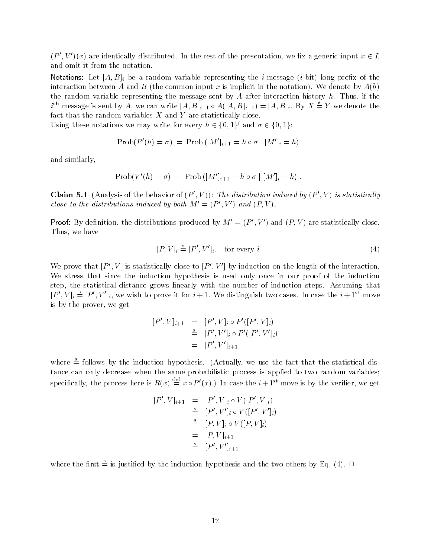$(P', V')(x)$  are identically distributed. In the rest of the presentation, we fix a generic input  $x \in L$ and omit it from the notation 

i be a random variable representing the imessage in the imessage in the imessage in the important the importan interaction between A and B (the common input x is implicit in the notation). We denote by  $A(h)$ the random variable representing the message sent by  $A$  after interaction-history  $h$ . Thus, if the  $i<sup>th</sup>$  message is sent by A, we can write  $|A, B|_{i-1} \circ A(|A, B|_{i-1}) = |A, B|_i$ . By  $X \stackrel{\sim}{=} Y$  we denote the fact that the random variables  $X$  and  $Y$  are statistically close.

Using these notations we may write for every  $h \in \{0,1\}^*$  and  $\theta \in \{0,1\}^*$ .

$$
Prob(P'(h) = \sigma) = Prob([M']_{i+1} = h \circ \sigma | [M']_i = h)
$$

and similarly

$$
Prob(V'(h) = \sigma) = Prob([M']_{i+1} = h \circ \sigma | [M']_i = h).
$$

**Claim 5.1** (Analysis of the behavior of  $(P', V)$ ): The distribution induced by  $(P', V)$  is statistically close to the distributions induced by both  $M' = (P', V')$  and  $(P, V)$ .

**Proof:** By definition, the distributions produced by  $M' = (P', V')$  and  $(P, V)$  are statistically close. Thus, we have

$$
[P,V]_i \stackrel{\mathbf{s}}{=} [P',V']_i, \quad \text{for every } i \tag{4}
$$

We prove that  $[P',V]$  is statistically close to  $[P',V']$  by induction on the length of the interaction. We stress that since the induction hypothesis is used only once in our proof of the induction step, the statistical distance grows linearly with the number of induction steps. Assuming that  $|P',V|_i \stackrel{d}{=} |P',V'|_i$ , we wish to prove it for  $i+1$ . We distinguish two cases. In case the  $i+1$ <sup>st</sup> move is by the prover, we get

$$
[P', V]_{i+1} = [P', V]_i \circ P'([P', V]_i)
$$
  
\n
$$
\stackrel{\simeq}{=} [P', V']_i \circ P'([P', V']_i)
$$
  
\n
$$
= [P', V']_{i+1}
$$

where  $\stackrel{\text{d}}{=}$  follows by the induction hypothesis. (Actually, we use the fact that the statistical distance can only decrease when the same probabilistic process is applied to two random variables specifically, the process here is  $R(x) \equiv x \circ P'(x)$ .) In case the  $i+1$ <sup>st</sup> move is by the verifier, we get

$$
[P', V]_{i+1} = [P', V]_i \circ V([P', V]_i)
$$
  
\n
$$
\stackrel{\le}{=} [P', V']_i \circ V([P', V']_i)
$$
  
\n
$$
\stackrel{\le}{=} [P, V]_i \circ V([P, V]_i)
$$
  
\n
$$
= [P, V]_{i+1}
$$
  
\n
$$
\stackrel{\le}{=} [P', V']_{i+1}
$$

where the first  $\stackrel{s}{=}$  is justified by the induction hypothesis and the two others by Eq. (4).  $\Box$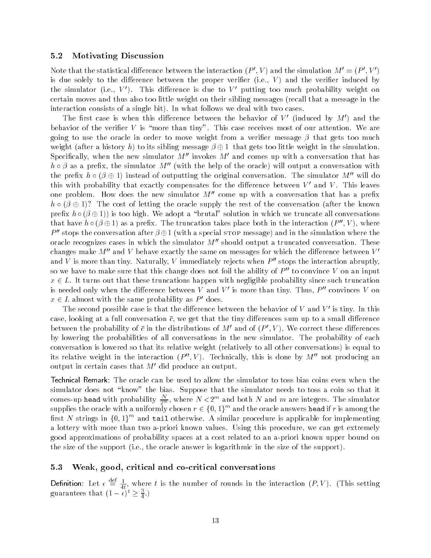### Motivating Discussion

Note that the statistical difference between the interaction  $(F, V)$  and the simulation  $M = (F, V)$ is due solely to the di-erence between the proper verier i e V and the verier induced by the simulator (i.e.,  $V$  ). This difference is due to  $V$  -putting too much probability weight on certain moves and thus also too little weight on their sibling messages recall that a message in the interaction consists of a single bit). In what follows we deal with two cases.

The first case is when this difference between the behavior of  $V$  -(induced by  $M$  ) and the behavior of the verifier  $V$  is "more than tiny". This case receives most of our attention. We are  $\mathbf{u}$  that to move weight from a verificial from a verificial from a verificial from a verificial from a verificial from a verificial from a verificial from a verificial from a verificial from a verificial from a verif  $\mathcal{W}$  is since the site site site site since  $\mathcal{W}$  is simulations in the simulation in the simulation of  $\mathcal{W}$ Specifically, when the new simulator  $M''$  invokes  $M'$  and comes up with a conversation that has  $n \circ \rho$  as a prenx, the simulator  $M$  -twith the help of the oracle) will output a conversation with the prefix  $n \circ (\beta \oplus 1)$  instead of outputting the original conversation. The simulator  $M$  will do this with probability that exactly compensates for the difference between  $V$  and  $V$ . This leaves one problem. How does the new simulator  $M''$  come up with a conversation that has a prefix h  The cost of letting the oracle supply the rest of the conversation after the known  $\mathbf{h}$  is too high a brutal solution in which we truncate all conversation in which we truncate all conversations  $\mathbf{h}$ that have  $n \circ (p \oplus 1)$  as a prenx. The truncation takes place both in the interaction  $(P_-, V)$ , where  $\bm{\varGamma}$  -stops the conversation after  $\rho \oplus 1$  (with a special strop message) and in the simulation where the oracle recognizes cases in which the simulator  $M''$  should output a truncated conversation. These changes make  $M$  – and  $V$  behave exactly the same on messages for which the difference between  $V$ and V is more than tiny. Naturally, V immediately rejects when  $P''$  stops the interaction abruptly. so we have to make sure that this change does not foil the ability of  $P''$  to convince V on an input  $x \in L$ . It turns out that these truncations happen with negligible probability since such truncation is needed only when the difference between  $V$  and  $V$  is more than tiny. Thus,  $P$  -convinces  $V$  on  $x \in L$  almost with the same probability as  $P'$  does.

The second possible case is that the difference between the behavior of  $V$  and  $V$  is tiny. In this case looking at a full conversation c we get that the tiny di-erences sum up to a small di-erence between the probability of c in the distributions of  $M$  -and of  $(P_-,V_+)$ . We correct these differences by lowering the probabilities of all conversations in the new simulator. The probability of each conversation is lowered so that its relative weight (relatively to all other conversations) is equal to its relative weight in the interaction  $(P'', V)$ . Technically, this is done by  $M''$  not producing an output in certain cases that  $M'$  did produce an output.

Technical Remark: The oracle can be used to allow the simulator to toss bias coins even when the simulator does not "know" the bias. Suppose that the simulator needs to toss a coin so that it comes-up nead with probability  $\frac{1}{2^m}$ , where  $N < 2^{m}$  and both  $N$  and  $m$  are integers. The simulator supplies the oracle with a uniformly chosen  $r\in\{0,1\}^-$  and the oracle answers head if  $r$  is among the first IV strings in  $\{0,1\}^{\cdots}$  and  $\tt tail$  otherwise. A similar procedure is applicable for implementing a lottery with more than two a-priori known values. Using this procedure, we can get extremely good approximations of probability spaces at a cost related to an a-priori known upper bound on the size of the support (i.e., the oracle answer is logarithmic in the size of the support).

### weak good critical and co-critical co-critical co-critical co-critical co-critical co-critical co-critical conversations of  $\mathcal{C}$

Definition: Let  $\epsilon \equiv \frac{1}{4t}$ , where t is the number of rounds in the interaction  $(P, V)$ . (This setting guarantees that  $(1 - \epsilon)^{\epsilon} \geq \frac{3}{4}$ .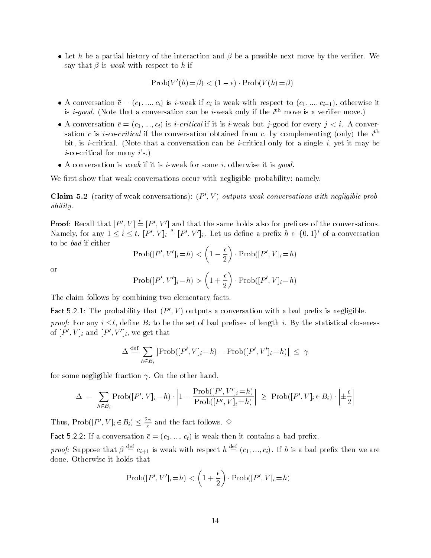Let it has been particle to the interaction and interaction and  $\mu$  interaction and verified the verified the verified the verified the verified the verified the verified the verified the verified the verified the verifie say that is weak with respect to have to have to have to have to have to have to have to have to have to have

$$
Prob(V'(h) = \beta) < (1 - \epsilon) \cdot Prob(V(h) = \beta)
$$

- a converse to a converse of the content of the content the period of a content of  $\mathbb{R}^n$ is  $\imath$ -good. (ivote that a conversation can be  $\imath$ -weak only if the  $\imath$  move is a verifier move.)
- A conversation  $\bar{c} = (c_1, ..., c_t)$  is *i-critical* if it is *i*-weak but *j*-good for every  $j < i$ . A conversation c is *i-co-critical* if the conversation obtained from c, by complementing (only) the  $i^{++}$ bit, is *i*-critical. (Note that a conversation can be *i*-critical only for a single *i*, yet it may be *i*-co-critical for many  $i$ 's.)
- A conversation is weak if it is *i*-weak for some *i*, otherwise it is good.

We first show that weak conversations occur with negligible probability; namely,

**CRIIII** 5.4 TEXTIV OF WEAK CONVERSATIONS P (P TV) DUPLIFY WEAK CONVERSATIONS WITH HEQUIQUOTE probability

**Proof:** Recall that  $[P', V] \triangleq [P', V']$  and that the same holds also for prefixes of the conversations. Namely, for any  $1 \leq i \leq t$ ,  $|P',V|_i = |P',V'|_i$ . Let us define a prefix  $h \in \{0,1\}^{\epsilon}$  of a conversation to be bad if either 

$$
\text{Prob}([P', V']_i = h) < \left(1 - \frac{\epsilon}{2}\right) \cdot \text{Prob}([P', V]_i = h)
$$

or

$$
Prob([P', V']_i = h) > \left(1 + \frac{\epsilon}{2}\right) \cdot Prob([P', V]_i = h)
$$

The claim follows by combining two elementary facts 

Fact 5.2.1: The probability that  $(P', V)$  outputs a conversation with a bad prefix is negligible. proof: For any  $i \leq t$ , define  $B_i$  to be the set of bad prefixes of length i. By the statistical closeness of  $|I|$  ,  $V|$  and  $|I|$  ,  $V|$   $|_i$ , we get that

$$
\Delta \stackrel{\text{def}}{=} \sum_{h \in B_i} |\text{Prob}([P', V]_i = h) - \text{Prob}([P', V']_i = h)| \le \gamma
$$

for some negligible fraction  $\gamma$ . On the other hand,

$$
\Delta = \sum_{h \in B_i} \mathrm{Prob}([P', V]_i = h) \cdot \left| 1 - \frac{\mathrm{Prob}([P', V']_i = h)}{\mathrm{Prob}([P', V]_i = h)} \right| \geq \mathrm{Prob}([P', V]_i \in B_i) \cdot \left| \pm \frac{\epsilon}{2} \right|
$$

Thus,  $\text{Prob}([P',V]_i \in B_i) \leq \frac{\tau_I}{\epsilon}$  and the fact follows.  $\Diamond$ 

Fact 5.2.2: If a conversation  $\bar{c} = (c_1, ..., c_t)$  is weak then it contains a bad prefix.

proof: Suppose that  $\beta \equiv c_{i+1}$  is weak with respect  $h \equiv (c_1,...,c_i)$ . If h is a bad prefix then we are done. Otherwise it holds that

$$
\text{Prob}([P', V']_i = h) < \left(1 + \frac{\epsilon}{2}\right) \cdot \text{Prob}([P', V]_i = h)
$$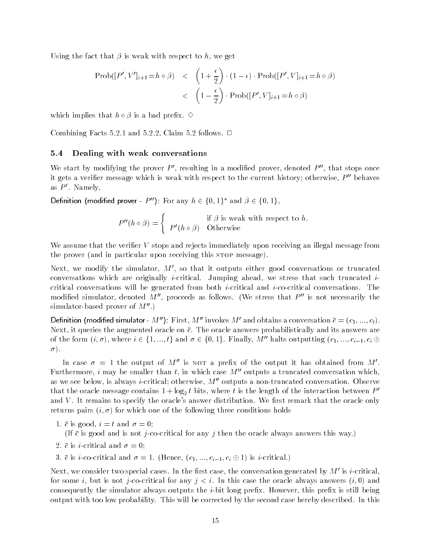Using the fact that  $\mu$  is well-come that  $\mu$  are the get

$$
\begin{aligned} \text{Prob}([P', V']_{i+1} = h \circ \beta) & < \left(1 + \frac{\epsilon}{2}\right) \cdot (1 - \epsilon) \cdot \text{Prob}([P', V]_{i+1} = h \circ \beta) \\ &< \left(1 - \frac{\epsilon}{2}\right) \cdot \text{Prob}([P', V]_{i+1} = h \circ \beta) \end{aligned}
$$

which is a bad present that the individual  $\mu$  is a bad present of the second state  $\mu$  is a bad present of the second state  $\mu$ 

Companies The Companies of School of School and School of School and School of School and School of School of S

### Dealing with weak conversations

We start by modifying the prover  $P'$ , resulting in a modified prover, denoted  $P''$ , that stops once it gets a verifier message which is weak with respect to the current history; otherwise,  $P''$  behaves as  $P'$ . Namely,

Definition (modified prover  $\vdash F$  ): For any  $h \in \{0,1\}$  and  $\beta \in \{0,1\}$ ,

$$
P''(h \circ \beta) = \begin{cases} & \text{if } \beta \text{ is weak with respect to } h. \\ P'(h \circ \beta) & \text{Otherwise} \end{cases}
$$

We assume that the verifier  $V$  stops and rejects immediately upon receiving an illegal message from the prover (and in particular upon receiving this stop message).

Next, we modify the simulator,  $M'$ , so that it outputs either good conversations or truncated conversations which are originally *i*-critical. Jumping ahead, we stress that such truncated  $i$ critical conversations will be generated from both *i*-critical and *i*-co-critical conversations. The modified simulator, denoted  $M''$ , proceeds as follows. (We stress that  $P''$  is not necessarily the simulator-based prover of  $M''$ .)

**Definition (modified simulator** - M''): First, M'' invokes M' and obtains a conversation  $\bar{c} = (c_1, ..., c_t)$ . Next, it queries the augmented oracle on  $\bar{c}$ . The oracle answers probabilistically and its answers are of the form  $(i, \sigma)$ , where  $i \in \{1, ..., t\}$  and  $\sigma \in \{0, 1\}$ . Finally,  $M$  –halts outputting  $(c_1, ..., c_{i-1}, c_i \oplus$  $\sigma$ ).

In case  $\sigma =$  1 the output of  $M$  is not a prefix of the output it has obtained from  $M$  . Furthermore, i may be smaller than t, in which case  $M''$  outputs a truncated conversation which, as we see below, is always *i*-critical; otherwise,  $M''$  outputs a non-truncated conversation. Observe that the oracle message contains  $1 + \log_2 t$  bits, where  $t$  is the length of the interaction between  $P$ and  $V$ . It remains to specify the oracle's answer distribution. We first remark that the oracle only returns pairs  $(i, \sigma)$  for which one of the following three conditions holds

c is good in the contract of the contract of the contract of the contract of the contract of the contract of th

(If  $\bar{c}$  is good and is not j-co-critical for any j then the oracle always answers this way.)

- 2.  $\bar{c}$  is *i*-critical and  $\sigma = 0$ ;
- $\cdots$  is in the circuit of  $\cdots$  in  $\cdots$  is in the circuit of  $\cdots$  is in the circuit of  $\cdots$

Next, we consider two special cases. In the first case, the conversation generated by M' is i-critical. for some *i*, but is not j-co-critical for any  $j < i$ . In this case the oracle always answers  $(i, 0)$  and consequently the simulator always outputs the  $i$ -bit long prefix. However, this prefix is still being output with too low probability. This will be corrected by the second case hereby described. In this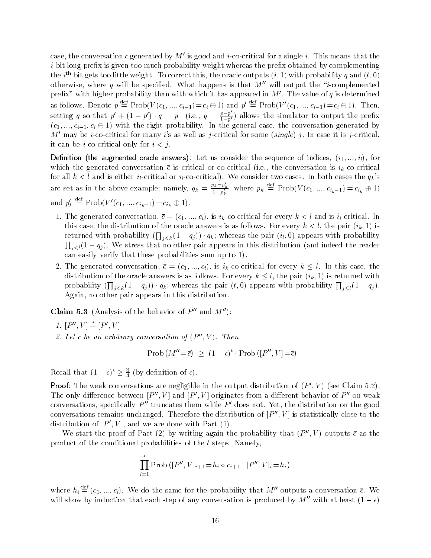case, the conversation  $\bar{c}$  generated by M' is good and *i*-co-critical for a single *i*. This means that the  $i$ -bit long prefix is given too much probability weight whereas the prefix obtained by complementing the  $i^{\infty}$  bit gets too little weight. To correct this, the oracle outputs  $(i,1)$  with probability  $q$  and  $(i,0)$ otherwise, where q will be specified. What happens is that  $M''$  will output the "*i*-complemented prefix" with higher probability than with which it has appeared in  $M'$ . The value of q is determined as follows. Denote  $p \equiv \text{Prob}(V(c_1,...,c_{i-1}) = c_i \oplus 1)$  and  $p' \equiv \text{Prob}(V'(c_1,...,c_{i-1}) = c_i \oplus 1)$ . Then, setting q so that  $p' + (1 - p') \cdot q = p$  (i.e.,  $q = \frac{p - p}{1 - q}$ )  $1-p'$  allows the simulator to output the pressure  $\mathcal{N}$  . The right probability is a conversation of the conversation generated by a conversation generated by a conversation of the conversation  $\mathcal{N}$ M' may be *i*-co-critical for many *i*'s as well as *j*-critical for some (*single*) *j*. In case it is *j*-critical, it can be *i*-co-critical only for  $i < j$ .

Definition (the augmented oracle answers): Let us consider the sequence of indices,  $(i_1, ..., i_l)$ , for which the generated conversation  $\bar{c}$  is critical or co-critical (i.e., the conversation is  $i_k$ -co-critical for all  $k < l$  and is either i<sub>l</sub>-critical or i<sub>l</sub>-co-critical). We consider two cases. In both cases the  $q_k$ 's are set as in the above example; namely,  $q_k = \frac{p_k - p_k}{1 - p'_k}$ , where  $p_k \stackrel{\text{def}}{=} \text{Prob}(V(c_1, ..., c_{i_k-1}) = c_{i_k} \oplus 1)$ and  $p'_k \equiv \mathrm{Prob}(V'(c_1, ..., c_{i_k-1}) = c_{i_k} \oplus 1)$ .

- $\Omega$  and an anti-conversation conversation conversation conversation conversation  $\Gamma$ the distribution of the oracle answers is as follows: is as follows: it is as follows: it is as follows: it is assumed to pair in the pair is assumed to the pair in the pair is assumed to the pair in the pair is a set of returned with probability  $(\prod_{j < k} (1 - q_j)) \cdot q_k$ ; whereas the pair  $(i_l, 0)$  appears with probability  $\prod_{i < l} (1 - q_j)$ . We stress that no other pair appears in this distribution (and indeed the reader can easily verify that these probabilities sum up to replace
- 2. The generated conversation,  $\bar{c} = (c_1, ..., c_t)$ , is  $i_k$ -co-critical for every  $k \leq l$ . In this case, the distribution of the oracle answers is as follows with  $\mathcal{F}$  and  $\mathcal{F}$  is  $\mathcal{F}$  is  $\mathcal{F}$  and  $\mathcal{F}$  and  $\mathcal{F}$  are  $\mathcal{F}$  and  $\mathcal{F}$  and  $\mathcal{F}$ probability  $(\prod_{j < k} (1 - q_j)) \cdot q_k$ ; whereas the pair  $(t, 0)$  appears with probability  $\prod_{j < l} (1 - q_j)$ . Again, no other pair appears in this distribution.

**Claim 5.3** (Analysis of the behavior of  $P''$  and  $M''$ ):

- 1.  $[P'', V] \triangleq [P', V]$
- 2. Let  $\bar{c}$  be an arbitrary conversation of  $(P'', V)$ . Then

$$
\text{Prob}\left(M''\!=\!\bar{c}\right) \ \geq \ (1-\epsilon)^t \cdot \text{Prob}\left([P'',V]\!=\!\bar{c}\right)
$$

Recall that  $(1 - \epsilon)^{3} \geq \frac{1}{2}$  (by definition of  $\epsilon$ ).

Proof: The weak conversations are negligible in the output distribution of  $(P', V)$  (see Claim 5.2). The only difference between  $|P|$ ,  $|V|$  and  $|P|$ ,  $|V|$  originates from a different behavior of  $P$  fon weak conversations, specifically  $P''$  truncates them while  $P'$  does not. Yet, the distribution on the good conversations remains unchanged. Therefore the distribution of  $[P'',V]$  is statistically close to the distribution of  $|P|$  ,  $V$  , and we are done with Part  $(1)$ .

We start the proof of Part (2) by writing again the probability that  $(P'', V)$  outputs  $\bar{c}$  as the product of the conditional probabilities of the  $t$  steps. Namely,

$$
\prod_{i=1}^{t} \text{Prob}\left( [P'', V]_{i+1} = h_i \circ c_{i+1} \mid [P'', V]_{i} = h_i \right)
$$

where  $h_i \equiv (c_1, ..., c_i)$ . We do the same for the probability that M" outputs a conversation  $\bar{c}$ . We will show by induction that each step of any conversation is produced by  $M$  with at least  $(1 - \epsilon)$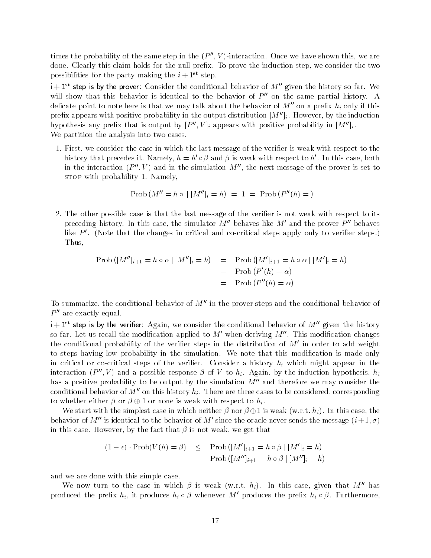times the probability of the same step in the  $(P'', V)$ -interaction. Once we have shown this, we are done. Clearly this claim holds for the null prefix. To prove the induction step, we consider the two possibilities for the party making the  $i + 1$  step.

 $i + 1$ <sup>st</sup> step is by the prover: Consider the conditional behavior of M'' given the history so far. We will show that this behavior is identical to the behavior of  $P''$  on the same partial history. A delicate point to note here is that we may talk about the behavior of  $M''$  on a prefix  $h_i$  only if this prenx appears with positive probability in the output distribution  $\| M \|_i$  . However, by the induction hypothesis any prenx that is output by  $|P|$  ,  $V|_i$  appears with positive probability in  $|M|_i$ . We partition the analysis into two cases.

 First we consider the case in which the last message of the verier is weak with respect to the mistory that precedes it. Namely,  $n = n \circ p$  and  $p$  is weak with respect to  $n$  . In this case, both in the interaction  $(P'', V)$  and in the simulation  $M''$ , the next message of the prover is set to stop with probability the contract of  $\mathcal{S}$ 

$$
Prob (M'' = h \circ | [M'']_i = h) = 1 = Prob (P''(h) = )
$$

2. The other possible case is that the last message of the verifier is not weak with respect to its preceding history. In this case, the simulator  $M''$  behaves like  $M'$  and the prover  $P''$  behaves like  $P'$ . (Note that the changes in critical and co-critical steps apply only to verifier steps.) Thus

$$
\begin{aligned} \text{Prob}\left( [M'']_{i+1} = h \circ \alpha \mid [M'']_i = h \right) &= \text{Prob}\left( [M']_{i+1} = h \circ \alpha \mid [M']_i = h \right) \\ &= \text{Prob}\left( P'(h) = \alpha \right) \\ &= \text{Prob}\left( P''(h) = \alpha \right) \end{aligned}
$$

To summarize, the conditional behavior of  $M''$  in the prover steps and the conditional behavior of  $P''$  are exactly equal.

 $i + 1$ <sup>st</sup> step is by the verifier: Again, we consider the conditional behavior of M'' given the history so far. Let us recall the modification applied to  $M'$  when deriving  $M''$ . This modification changes the conditional probability of the verifier steps in the distribution of  $M'$  in order to add weight to steps having low probability in the simulation. We note that this modification is made only in critical or co-critical steps of the verifier. Consider a history  $h_i$  which might appear in the interaction  $(P_-, V)$  and a possible response  $\rho$  of  $V$  to  $n_i$ . Again, by the induction hypothesis,  $n_i$ has a positive probability to be output by the simulation  $M''$  and therefore we may consider the conditional behavior of  $M''$  on this history  $h_i$ . There are three cases to be considered, corresponding  $\mathbf{r} = \mathbf{r} \cdot \mathbf{w}$  with respect to the is weak with respect to  $\mathbf{r}$ 

with the simplest case in the simplest case in the simple  $\mu$  and  $\mu$  with  $\mu$  is the simple  $\mu$  . This case the simple start of  $\mu$ behavior of  $M$  is identical to the behavior of  $M$  isince the oracle never sends the message  $(i+1, \sigma)$ in this case  $\mathbb{I}$  that fact that fact that  $\mathbb{I}$  is not we get that  $\mathbb{I}$ 

$$
(1 - \epsilon) \cdot \text{Prob}(V(h) = \beta) \leq \text{Prob}([M']_{i+1} = h \circ \beta \mid [M']_i = h)
$$
  
= \text{Prob}([M'']\_{i+1} = h \circ \beta \mid [M'']\_i = h)

and we are done with this simple case 

We now turn to the case in which  $\rho$  is weak (w.r.t.  $n_i$ ). In this case, given that M has produced the prenx  $n_i$ , it produces  $n_i \circ \rho$  whenever  $M$  -produces the prenx  $n_i \circ \rho$ . Furthermore,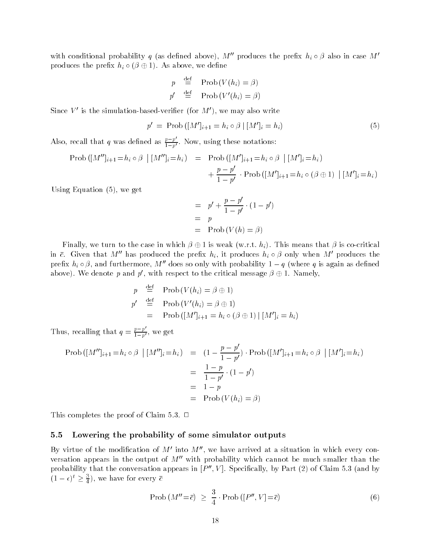with conditional probability  $q$  (as defined above),  $M$  -produces the prefix  $n_i \circ \beta$  also in case  $M$  - $\mathbf{I}$  and  $\mathbf{I}$  are produced we denote we denote we denote we denote  $\mathbf{I}$ 

$$
p \stackrel{\text{def}}{=} \text{Prob}(V(h_i) = \beta)
$$
  

$$
p' \stackrel{\text{def}}{=} \text{Prob}(V'(h_i) = \beta)
$$

Since  $V'$  is the simulation-based-verifier (for  $M'$ ), we may also write

$$
p' = \text{Prob}([M']_{i+1} = h_i \circ \beta \mid [M']_i = h_i)
$$
\n(5)

Also, recall that q was defined as  $\frac{p-p}{1-r}$ .  $1-p'$  and  $p'$  is the notations of  $\Box$ 

$$
\begin{aligned} \text{Prob}\left( [M'']_{i+1} = h_i \circ \beta \mid [M'']_i = h_i \right) &= \text{Prob}\left( [M']_{i+1} = h_i \circ \beta \mid [M']_i = h_i \right) \\ &+ \frac{p - p'}{1 - p'} \cdot \text{Prob}\left( [M']_{i+1} = h_i \circ (\beta \oplus 1) \mid [M']_i = h_i \right) \end{aligned}
$$

Using Equation  $(5)$ , we get

$$
= p' + \frac{p - p'}{1 - p'} \cdot (1 - p')
$$

$$
= p
$$

$$
= \text{Prob}(V(h) = \beta)
$$

Finally we turn to the case in which  $\rho$  with  $\alpha$  in the  $\gamma$  that  $\gamma$  is the case  $\rho$  and  $\alpha$  is continuous in c. Given that  $M$  has produced the prefix  $n_i$ , it produces  $n_i \circ \beta$  only when  $M$  -produces the prenx  $n_i \circ \rho$ , and furthermore,  $m$  -does so only with probability  $1-q$  (where  $q$  is again as defined above). We denote  $p$  and  $p$  , with respect to the critical message  $\rho \oplus 1.$  Namely,

$$
p \stackrel{\text{def}}{=} \text{Prob}(V(h_i) = \beta \oplus 1)
$$
  
\n
$$
p' \stackrel{\text{def}}{=} \text{Prob}(V'(h_i) = \beta \oplus 1)
$$
  
\n
$$
= \text{Prob}([M']_{i+1} = h_i \circ (\beta \oplus 1) | [M']_i = h_i)
$$

Thus, recalling that  $q = \frac{p-p}{1-p}$ ,  $1-p'$  , we get

Prob 
$$
([M'']_{i+1} = h_i \circ \beta \mid [M'']_i = h_i)
$$

\n
$$
= \frac{1 - p}{1 - p'} \cdot \text{Prob } ([M']_{i+1} = h_i \circ \beta \mid [M']_i = h_i)
$$
\n
$$
= \frac{1 - p}{1 - p'} \cdot (1 - p')
$$
\n
$$
= 1 - p
$$
\n
$$
= \text{Prob } (V(h_i) = \beta)
$$

This completes the proof of Claim 5.3.  $\Box$ 

### Lowering the probability of some simulator outputs

By virtue of the modification of M' into M", we have arrived at a situation in which every conversation appears in the output of  $M''$  with probability which cannot be much smaller than the probability that the conversation appears in  $[P'', V]$ . Specifically, by Part (2) of Claim 5.3 (and by  $(1 - \epsilon)^{3} \geq \frac{3}{4}$ , we have for every c .

$$
\text{Prob}\left(M''=\bar{c}\right) \ \geq \ \frac{3}{4} \cdot \text{Prob}\left([P'',V]=\bar{c}\right) \tag{6}
$$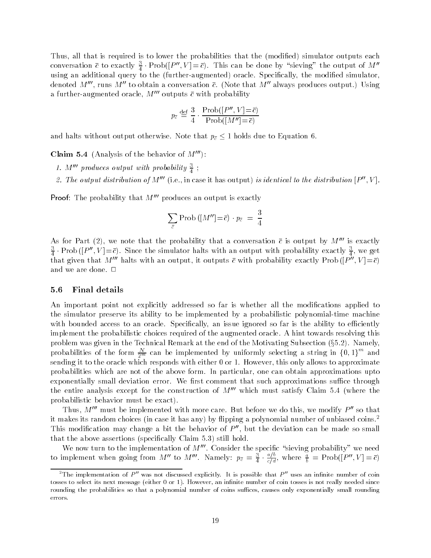Thus, all that is required is to lower the probabilities that the (modified) simulator outputs each conversation c to exactly  $\frac{2}{4} \cdot \mathrm{Prob}([F^{\prime\prime},V]=c)$ . This can be done by "sleving" the output of  $M^{\prime\prime}$ using an additional query to the furtheraugmented oracle Specically the modied simulator denoted M''', runs M'' to obtain a conversation  $\bar{c}$ . (Note that M'' always produces output.) Using a further-augmented oracle, M''' outputs  $\bar{c}$  with probability

$$
p_{\bar{c}} \stackrel{\text{def}}{=} \frac{3}{4} \cdot \frac{\text{Prob}([P'', V] = \bar{c})}{\text{Prob}([M''] = \bar{c})}
$$

and halts without output otherwise with the control pc  $\geq$  . A note to Equation of Equation Section

Claim 5.4 (Analysis of the behavior of  $M'''$ ):

- 1. M produces output with probability  $\frac{1}{2}$ ;
- 2. The output distribution of M''' (i.e., in case it has output) is identical to the distribution  $[P'', V]$ .

**Proof:** The probability that  $M'''$  produces an output is exactly

$$
\sum_{\overline{c}}\,\mathrm{Prob}\left(\left[M''\right]\right)=\overline{c}\right)\cdot p_{\overline{c}}\ =\ \frac{3}{4}
$$

As for Part (2), we note that the probability that a conversation  $\bar{c}$  is output by  $M'''$  is exactly  $\frac{2}{3}$  Prob ( $|P^*|$ ,  $V = c$ ). Since the simulator halts with an output with probability exactly  $\frac{2}{3}$ , we get that given that  $M'''$  halts with an output, it outputs  $\bar{c}$  with probability exactly Prob( $[P'' , V] = \bar{c}$ ) and we are done.  $\Box$ 

### 5.6 Final details

An important point not explicitly addressed so far is whether all the modifications applied to the simulator preserve its ability to be implemented by a probabilistic polynomial-time machine with bounded access to an oracle. Specifically, an issue ignored so far is the ability to efficiently implement the probabilistic choices required of the augmented oracle. A hint towards resolving this problem was given in the Technical Remark at the end of the Motivating Subsection  $(\S 5.2)$ . Namely, probabilities of the form  $\frac{1}{2^m}$  can be implemented by uniformly selecting a string in  $\{0,1\}$  and sending it to the oracle which responds with either  $\mathcal{H}$  allows to approximate this only allows to approximate  $\mathcal{H}$ probabilities which are not of the above form. In particular, one can obtain approximations upto exponentially small deviation error. We first comment that such approximations suffice through the entire analysis except for the construction of  $M'''$  which must satisfy Claim 5.4 (where the probabilistic behavior must be exact 

Thus,  $M'''$  must be implemented with more care. But before we do this, we modify  $P''$  so that it makes its random choices (in case it has any) by flipping a polynomial number of unbiased coins.<sup>2</sup> This modification may change a bit the behavior of  $P''$ , but the deviation can be made so small that the above assertions (specifically Claim  $5.3$ ) still hold.

We now turn to the implementation of  $M'''$ . Consider the specific "sieving probability" we need to implement when going from M'' to M'''. Namely:  $p_{\bar{c}} = \frac{3}{4} \cdot \frac{1}{c/d}$ , where  $\frac{3}{b}$  = Prob([P'', V] = c)

The implementation of  $P_-$  was not discussed explicitly. It is possible that  $P_-$  uses an infinite number of coin  $H$  . Its next message either an innite number of coin tosses is not really needed since  $\mathcal{H}$ rounding the probabilities so that a polynomial number of coins suffices, causes only exponentially small rounding errors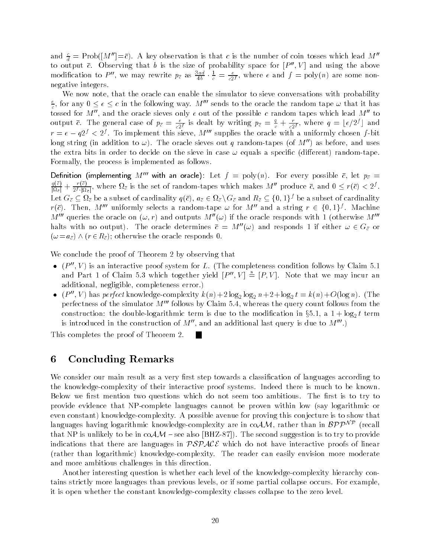and  $\frac{c}{d}$  = Prob([M''] =  $\bar{c}$ ). A key observation is that c is the number of coin tosses which lead M'' to output  $\bar{c}$ . Observing that b is the size of probability space for  $[P'', V]$  and using the above modification to P", we may rewrite  $p_{\bar{c}}$  as  $\frac{z}{4b} \cdot \frac{1}{c} = \frac{1}{c2f}$ , where e and  $f = \text{poly}(n)$  are some nonnegative integers 

We now note, that the oracle can enable the simulator to sieve conversations with probability  $\div$ , for any  $0 \le e \le c$  in the following way.  $M$  is sends to the oracle the random tape  $\omega$  that it has tossed for M'', and the oracle sieves only  $e$  out of the possible  $c$  random tapes which lead M'' to output c. The general case of  $p_{\bar{c}} = \frac{1}{c2f}$  is dealt by writing  $p_{\bar{c}} = \frac{1}{c} + \frac{1}{c2f}$ , where  $q = \lfloor e/2^x \rfloor$  and  $r = e - q z^2 < z^2$  . To implement this sieve,  $M$  - supplies the oracle with a unnormly chosen f-bit long string (in addition to  $\omega$ ). The oracle sieves out q random-tapes (of M'') as before, and uses the extra bits in order to decide on the sieve in case equals a specic di-erent randomtape Formally, the process is implemented as follows.

Definition (implementing M'" with an oracle): Let  $f = poly(n)$ . For every possible  $\bar{c}$ , let  $p_{\bar{c}} =$  $\sim$   $\sim$   $\sim$   $\sim$   $\sim$  $\frac{\partial f(z)}{\partial \Omega_c} + \frac{\partial f(z)}{\partial \Omega_c}$ , where  $\Omega_{\bar{c}}$  is the set of random-tapes which makes  $M''$  produce  $c$ , and  $0 \le r(c) < 2^J$ . Let  $G_{\bar{c}}\subseteq \Omega_{\bar{c}}$  be a subset of cardinality  $q(c)$ ,  $a_{\bar{c}}\in \Omega_{\bar{c}}\setminus G_{\bar{c}}$  and  $R_{\bar{c}}\subseteq \{0,1\}^*$  be a subset of cardinality  $r(c)$ . Then,  $M$  - uniformly selects a random-tape  $\omega$  for  $M$  - and a string  $r \in \{0,1\}^s$ . Machine - $M$  - queries the oracle on  $(\omega, r)$  and outputs  $M$   $(\omega)$  if the oracle responds with 1 (otherwise  $M$ mans with no output). The oracle determines  $c = M$  ( $\omega$ ) and responds I if either  $\omega \in \mathrm{G}_{\bar c}$  or  $(\omega = a_{\bar{c}}) \wedge (r \in R_{\bar{c}})$ ; otherwise the oracle responds 0.

We conclude the proof of Theorem 2 by observing that

- $\bullet$  ( $P'', V$ ) is an interactive proof system for L. (The completeness condition follows by Claim 5.1) and Part 1 of Claim 5.3 which together yield  $|P'', V| = |P, V|$ . Note that we may incur an additional, negligible, completeness error.)
- $(P_1, V)$  has *perfect* knowledge-complexity  $\kappa(n) + 2 \log_2 \log_2 n + 2 + \log_2 t = \kappa(n) + O(\log n)$ . The perfectness of the simulator  $M'''$  follows by Claim 5.4, whereas the query count follows from the construction the double term is due to the modification in xing to the modification in xing to the modification in xing to the modification in xing to the modification in xing to the modification in xing to the modificatio is introduced in the construction of  $M''$ , and an additional last query is due to  $M'''$ .)

This completes the proof of Theorem 2.

## Concluding Remarks

We consider our main result as a very first step towards a classification of languages according to the knowledge-complexity of their interactive proof systems. Indeed there is much to be known. Below we first mention two questions which do not seem too ambitious. The first is to try to provide evidence that NP-complete languages cannot be proven within low (say logarithmic or even constant) knowledge-complexity. A possible avenue for proving this conjecture is to show that languages having logarithmic knowledge-complexity are in co $AM$ , rather than in  $BPP^{NP}$  (recall that NP is unlikely to be in  $co\mathcal{AM}$  – see also [BHZ-87]). The second suggestion is to try to provide indications that there are languages in  $\mathcal{PSPACE}$  which do not have interactive proofs of linear (rather than logarithmic) knowledge-complexity. The reader can easily envision more moderate and more ambitious challenges in this direction 

Another interesting question is whether each level of the knowledge-complexity hierarchy contains strictly more languages than previous levels, or if some partial collapse occurs. For example, it is open whether the constant knowledge-complexity classes collapse to the zero level.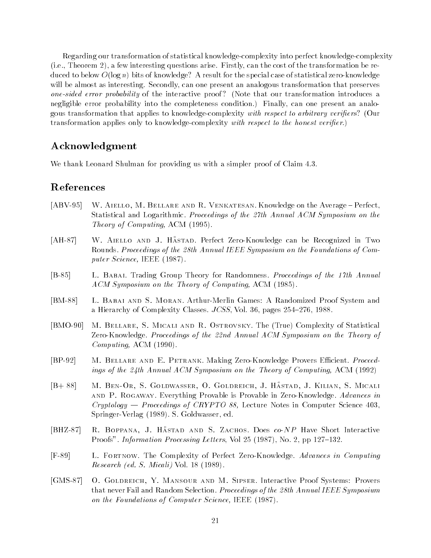Regarding our transformation of statistical knowledge-complexity into perfect knowledge-complexity  $(i.e., Theorem 2)$ , a few interesting questions arise. Firstly, can the cost of the transformation be reduced to below  $O(\log n)$  bits of knowledge? A result for the special case of statistical zero-knowledge will be almost as interesting. Secondly, can one present an analogous transformation that preserves one-sided error probability of the interactive proof? (Note that our transformation introduces a negligible error probability into the completeness condition.) Finally, can one present an analogous transformation that applies to knowledge-complexity with respect to arbitrary verifiers? (Our transformation applies only to knowledge-complexity with respect to the honest verifier.)

## Acknowledgment

We thank Leonard Shulman for providing us with a simpler proof of Claim 4.3.

## References

- [ABV-95] W. AIELLO, M. BELLARE AND R. VENKATESAN. Knowledge on the Average Perfect. Statistical and Logarithmic. Proceedings of the 27th Annual ACM Symposium on the The Computing Acts of Computing Acts and the Computing Acts of Computing Acts and Acts of Computing Acts and A
- $\mu$ iii  $\sigma$ i $\mu$  are astadistic  $\sigma$  in  $\sigma$  in  $\mu$  in  $\sigma$  in  $\sigma$  and  $\sigma$  in  $\sigma$  in  $\sigma$  in  $\sigma$  in  $\sigma$  in  $\sigma$ Rounds. Proceedings of the 28th Annual IEEE Symposium on the Foundations of Computer science is a comment of the second property of the second second second second second second second second second second second second second second second second second second second second second second second seco
- [B-85] [B-85] L. BABAI. Trading Group Theory for Randomness. *Proceedings of the 17th Annual* ACH Symposium on the Theory of Computing ACH Symposium Computing ACM (
- [BM-88] L. BABAI AND S. MORAN. Arthur-Merlin Games: A Randomized Proof System and a Hierarchy of Complexity Classes of Complexity Classes of Complexity Classes of Complexity Classes of Complexi
- [BMO-90] M. BELLARE, S. MICALI AND R. OSTROVSKY. The (True) Complexity of Statistical Zero-Knowledge. Proceedings of the 22nd Annual  $ACM$  Symposium on the Theory of Computing ACM
- [BP-92] M. BELLARE AND E. PETRANK. Making Zero-Knowledge Provers Efficient. Proceedings of the th Annual ACM Symposium on the Theory of Computing ACM
- in and the mail only in computing and computing a microsoft of Himmit Statement. AND P. ROGAWAY. Everything Provable is Provable in Zero-Knowledge. Advances in  $Cryptology - Proceedings of CRYPTO 88$ , Lecture Notes in Computer Science 403, werker verlag verlager er en de staat de staat de staat de staat de staat de staat de staat de staat de staat
- astad and I **and S P** and The S I Have Show Interactive Short Interactive Short Interactive Short Interactive Protect Properties Protecting Medicine Protecting Letters Interest Protect Protect
- [F-89] L. FORTNOW. The Complexity of Perfect Zero-Knowledge. Advances in Computing Research ed S Micali Vol
- [GMS-87] O. GOLDREICH, Y. MANSOUR AND M. SIPSER. Interactive Proof Systems: Provers that never Fail and Random Selection. Proceedings of the 28th Annual IEEE Symposium on the Foundations of Computer Science IEEE IEEE I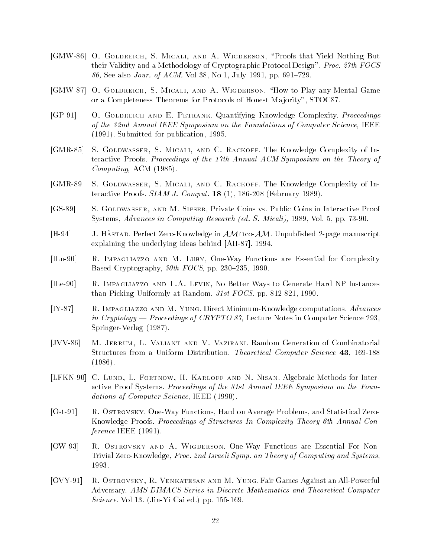- [GMW-86] O. GOLDREICH, S. MICALI, AND A. WIGDERSON, "Proofs that Yield Nothing But their Validity and a Methodology of Cryptographic Protocol Design", Proc. 27th FOCS see waard waard see also laan waard also waard waard also also also also been deel ook die die die die die die
- [GMW-87] O. GOLDREICH, S. MICALI, AND A. WIGDERSON, "How to Play any Mental Game or a Completeness Theorems for Protocols of Honest Majority", STOC87.
- $[GP-91]$ O. GOLDREICH AND E. PETRANK. Quantifying Knowledge Complexity. Proceedings of the 32nd Annual IEEE Symposium on the Foundations of Computer Science, IEEE submitted for publication of the publication of the publication of the set of the set of the set of the set of
- [GMR-85] S. GOLDWASSER, S. MICALI, AND C. RACKOFF. The Knowledge Complexity of Interactive Proofs. Proceedings of the 17th Annual ACM Symposium on the Theory of  $\blacksquare$
- [GMR-89] S. GOLDWASSER, S. MICALI, AND C. RACKOFF. The Knowledge Complexity of Inthere is a computed to compute  $\mathcal{L} = \{ \mathcal{L} \mid \mathcal{L} \}$  , we can compute the set of  $\mathcal{L} = \{ \mathcal{L} \}$
- [GS-89] S. GOLDWASSER, AND M. SIPSER, Private Coins vs. Public Coins in Interactive Proof e ja seemen advances in Computing Research (Research Computing Advance) in the Special Computing Computing Com
- $\mu$  is  $\sigma$  as the  $\mu$  denotes the  $\mu$  denotes  $\mu$  and  $\mu$  is the  $\mu$  and  $\mu$  and  $\mu$  and  $\mu$  and  $\mu$ explaining the underlying ideas behind AH
- [ILu-90] R. IMPAGLIAZZO AND M. LUBY, One-Way Functions are Essential for Complexity Based Cryptography to Sail Down pp . Based Based Cry
- ILE-90 R. IMPAGLIAZZO AND L.A. LEVIN, No Better Ways to Generate Hard NP Instances that Picking Picking at Random st Focs political pp. 200 pp. 200 pp. 200 pp.
- [IY-87] R. IMPAGLIAZZO AND M. YUNG. Direct Minimum-Knowledge computations. Advances in Cryptology  $-$  Proceedings of CRYPTO 87, Lecture Notes in Computer Science 293,  $\sim$  springer verlager and the springer vertex of  $\sim$
- [JVV-86] M. JERRUM, L. VALIANT AND V. VAZIRANI. Random Generation of Combinatorial structures from a Uniform Distribution of the Science Science Science Science Science Science  $\cdots$   $\cdots$
- [LFKN-90] C. LUND, L. FORTNOW, H. KARLOFF AND N. NISAN. Algebraic Methods for Interactive Proof Systems. Proceedings of the 31st Annual IEEE Symposium on the Foundations of Computer Science IEEE IEEE I
- $[Ost-91]$ R. OSTROVSKY. One-Way Functions, Hard on Average Problems, and Statistical Zero-Knowledge Proofs. Proceedings of Structures In Complexity Theory 6th Annual Conference IEEE
- [OW-93] R. OSTROVSKY AND A. WIGDERSON. One-Way Functions are Essential For Non-Trivial Zero-Knowledge, Proc. 2nd Israeli Symp. on Theory of Computing and Systems,
- $[OVY-91]$ R. OSTROVSKY, R. VENKATESAN AND M. YUNG. Fair Games Against an All-Powerful Adversary. AMS DIMACS Series in Discrete Mathematics and Theoretical Computer science van wer van de weerste ppe weer weer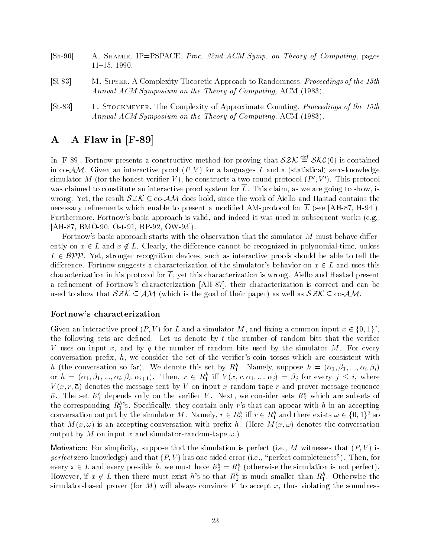- $\lbrack Sh-90\rbrack$  A. SHAMIR. IP=PSPACE. Proc. 22nd ACM Symp. on Theory of Computing, pages the contract of the contract of the contract of the contract of the contract of the contract of the contract of
- Si-83 M. SIPSER. A Complexity Theoretic Approach to Randomness. Proceedings of the 15th Annual ACM Symposium on the Theory of Computing ACM
- [St-83] L. STOCKMEYER. The Complexity of Approximate Counting. *Proceedings of the 15th* Annual ACM Symposium on the Theory of Computing ACM

## $\bf{A}$   $\bf{A}$  Flaw in [F-89]

In [F-89], Fortnow presents a constructive method for proving that  $\mathcal{SZK} \stackrel{\text{def}}{=} \mathcal{SKC}(0)$  is contained in co-AM. Given an interactive proof  $(P, V)$  for a languages L and a (statistical) zero-knowledge simulator M (for the honest verifier V), he constructs a two-round protocol  $(P', V')$ . This protocol was claimed to constitute an interactive proof system for  $\overline{L}$ . This claim, as we are going to show, is wrong. Yet, the result  $\mathcal{SZK} \subseteq$  co- $\mathcal{AM}$  does hold, since the work of Aiello and Hastad contains the necessary refinements which enable to present a modified AM-protocol for  $\overline{L}$  (see [AH-87, H-94]). Furthermore, Fortnow's basic approach is valid, and indeed it was used in subsequent works (e.g. AH BMO Ost BP OW 

Fortnows basic approach starts with the observation that the simulator M must behave di-er ently the common  $L$  and discussing into dimensional cannot be recognized in polynomialty unless the common  $L \in \mathcal{BPP}$ . Yet, stronger recognition devices, such as interactive proofs should be able to tell the  $\mathcal{L}(\mathcal{M})$ characterization in his protocol for  $\overline{L}$ , yet this characterization is wrong. Aiello and Hastad present a refinement of Fortnow's characterization [AH-87], their characterization is correct and can be used to show that  $\mathcal{SZK} \subseteq \mathcal{AM}$  (which is the goal of their paper) as well as  $\mathcal{SZK} \subseteq$  co- $\mathcal{AM}$ .

Given an interactive proof  $(P, V)$  for L and a simulator M, and fixing a common input  $x \in \{0, 1\}$  , the following sets are defined. Let us denote by  $t$  the number of random bits that the verifier V uses on input x, and by q the number of random bits used by the simulator M. For every conversation prefix,  $h$ , we consider the set of the verifier's coin tosses which are consistent with  $n$  (the conversation so far). We denote this set by  $R_1$ . Namely, suppose  $n = (a_1, p_1, ..., a_i, p_i)$ or  $n = (\alpha_1, \beta_1, ..., \alpha_i, \beta_i, \alpha_{i+1})$ . Then,  $r \in R_1$  in  $v(x, r, \alpha_1, ..., \alpha_j) = \beta_j$  for every  $j \leq i$ , where  $V(x,r,\bar{\alpha})$  denotes the message sent by V on input x random-tape r and prover message-sequence  $\alpha$ . The set  $n_1$  depends only on the verifier  $v$  . Next, we consider sets  $n_2$  which are subsets of the corresponding  $\kappa_1$  s. Specifically, they contain only r s that can appear with h in an accepting conversation output by the simulator M . Namely,  $r \in R_2^{\circ}$  iff  $r \in R_1^{\circ}$  and there exists  $\omega \in \{0,1\}^{\circ}$  so that  $M(x, \omega)$  is an accepting conversation with prefix h. (Here  $M(x, \omega)$  denotes the conversation output by M on input x and simulator-random-tape  $\omega$ .)

Motivation: For simplicity, suppose that the simulation is perfect (i.e., M witnesses that  $(P, V)$  is perfect zero-knowledge) and that  $(P, V)$  has one-sided error (i.e., "perfect completeness"). Then, for every  $x \in L$  and every possible h, we must have  $\kappa_2 = \kappa_1^+$  (otherwise the simulation is not perfect). However, if  $x \notin L$  then there must exist h s so that  $R_2$  is much smaller than  $R_1^*$ . Otherwise the -simulator-based prover (for M) will always convince V to accept x, thus violating the soundness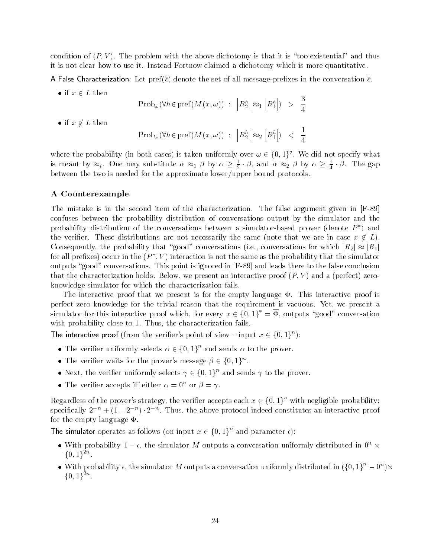condition of  $(P, V)$ . The problem with the above dichotomy is that it is "too existential" and thus it is not clear how to use it. Instead Fortnow claimed a dichotomy which is more quantitative.

A False Characterization: Let pref( $\bar{c}$ ) denote the set of all message-prefixes in the conversation  $\bar{c}$ .

• if  $x \in L$  then

• if  $x \notin L$  then

$$
Prob_{\omega}(\forall h \in \text{pref}(M(x,\omega)) : |R_2^h| \approx_1 |R_1^h|) > \frac{3}{4}
$$
  

$$
Prob_{\omega}(\forall h \in \text{pref}(M(x,\omega)) : |R_2^h| \approx_2 |R_1^h|) < \frac{1}{4}
$$

where the probability (in both cases) is taken uniformly over  $\omega \in \{0,1\}^{\ast}$  . We did not specify what is meant by  $\approx_i$ . One may substitute  $\alpha \approx_1 \beta$  by  $\alpha \geq \frac{1}{2}$ ,  $\beta$ , and  $\alpha \approx_2 \beta$  by  $\alpha \geq \frac{1}{4}$ ,  $\beta$ . The gap between the two is needed for the approximate lower"upper bound protocols 

### A Counterexample

The mistake is in the second item of the characterization. The false argument given in  $[F-89]$ confuses between the probability distribution of conversations output by the simulator and the probability distribution of the conversations between a simulator-based prover (denote  $P$  ) and the verifier. These distributions are not necessarily the same (note that we are in case  $x \notin L$ ). Consequently, the probability that "good" conversations (i.e., conversations for which  $|R_2| \approx |R_1|$ for an prenxes) occur in the  $\{F_-,V_-\}$  interaction is not the same as the probability that the simulator outputs "good" conversations. This point is ignored in [F-89] and leads there to the false conclusion that the characterization holds. Below, we present an interactive proof  $(P, V)$  and a (perfect) zeroknowledge simulator for which the characterization fails 

The interactive proof that we present is for the empty language  $\Phi$ . This interactive proof is perfect zero knowledge for the trivial reason that the requirement is vacuous. Yet, we present a simulator for this interactive proof which, for every  $x \in \{0,1\}$   $\implies$   $\Psi,$  outputs "good" conversation with probability close to me manual characterization fails.

The interactive proof (from the verifier's point of view  $-$  input  $x \in \{0, 1\}^{\sim}$ ):

- $\bullet$  The verifier uniformly selects  $\alpha \in \{0,1\}^{\sim}$  and sends  $\alpha$  to the prover.
- $\bullet$  The verifier waits for the prover's message  $\rho \in \{0,1\}^{\sim}$ .
- $\bullet$  Next, the verifier uniformly selects  $\gamma \in \{0,1\}^+$  and sends  $\gamma$  to the prover.
- $\bullet$  The verifier accepts in either  $\alpha = 0^{\circ}$  or  $\rho = \gamma$ .

Regardless of the prover's strategy, the verifier accepts each  $x \in \{0,1\}^{\sim}$  with negligible probability;  $\mathbf{s}$ pecifically  $2\rightarrow +$  (1 – 2  $\rightarrow$  )  $\rightarrow$   $2\rightarrow$  Thus, the above protocol indeed constitutes an interactive proof for the empty language  $\Phi$ .

The simulator operates as follows (on input  $x \in \{0, 1\}$  and parameter  $\epsilon$ ):

- $\bullet$  with probability  $1-\epsilon$ , the simulator  $M$  outputs a conversation uniformly distributed in  $0-\chi$  $\{0,1\}^{\infty}$ .
- $\bullet$  With probability  $\epsilon,$  the simulator M outputs a conversation uniformly distributed in  $(\{0,1\}^+ 0^+) \times$  $\{0,1\}^{\infty}$ .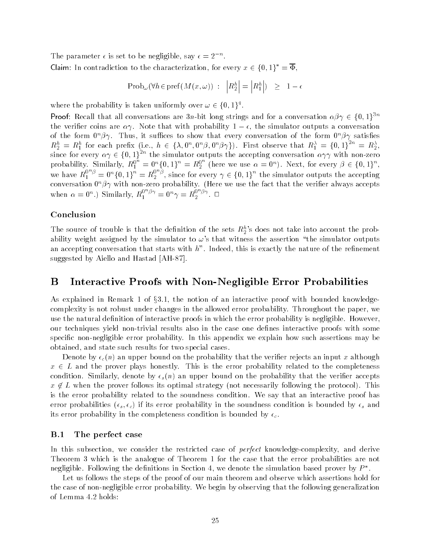The parameter  $\epsilon$  is set to be negligible, say  $\epsilon = 2$ Claim: In contradiction to the characterization, for every  $x \in \{0, 1\}$  =  $\Phi$ ,

$$
\mathrm{Prob}_{\omega}(\forall h \in \mathrm{pref}(M(x,\omega)) : |R_2^h| = |R_1^h|) \geq 1 - \epsilon
$$

where the probability is taken uniformly over  $\omega \in \{0,1\}^{\circ}$ .

**Proof**: Recall that all conversations are  $3n$ -bit long strings and for a conversation  $\alpha\beta\gamma \in \{0,1\}^{3n}$  $\mathbf I$  are that with probability  $\mathbf I$  are simulator outputs a conversation outputs a conversation outputs a conversation of  $\mathbf I$ of the form  $0^{\circ}\rho\gamma$ . Thus, it suffices to show that every conversation of the form  $0^{\circ}\rho\gamma$  satises  $R_2^{\alpha} = R_1^{\alpha}$  for each prefix (i.e.,  $h \in \{\lambda, 0^n, 0^n\beta, 0^n\beta\gamma\}$ ). First observe that  $R_1^{\alpha} = \{0, 1\}^{\omega} = R_2^{\alpha}$ , since for every  $\alpha\gamma\in$  {0,1}<sup>-\*</sup> the simulator outputs the accepting conversation  $\alpha\gamma\gamma$  with non-zero probability. Similarly,  $R_1^0$  =  $\Gamma_1^{0^{n}} = 0^n \{0,1\}^n = R_2^{0^{n}}$  (h  $\Sigma_2^{\circ}$  (here we use  $\alpha = 0$  ). Next, for every  $\beta \in \{0,1\}$  ,  $\blacksquare$ we have  $R_1^{\sigma\cdots\rho}=0^n\{0,1\}^n=R_2^{\sigma\cdots\rho}$ , since for every  $\gamma\in\{0,1\}^n$  the simulator outputs the accepting conversation  $\sigma$   $\rho\gamma$  with non-zero probability. There we use the fact that the verifier always accepts when  $\alpha = 0^n$ .) Similarly,  $R_1^{\sigma \neg \rho \gamma} = 0^n \gamma = R_2^{\sigma \neg \rho \gamma}$ .

### Conclusion

The source of trouble is that the denitition of the sets  $R_2$  s does not take into account the probability weight assigned by the simulator to  $\omega$ 's that witness the assertion "the simulator outputs an accepting conversation that starts with  $h$ ". Indeed, this is exactly the nature of the refinement suggested by Aiello and Hastad [AH-87].

## B Interactive Proofs with Non-Negligible Error Probabilities

 $\mathbf{A}$ s explained in Remark  $\mathbf{A}$ complexity is not robust under changes in the allowed error probability. Throughout the paper, we use the natural definition of interactive proofs in which the error probability is negligible. However, our techniques yield non-trivial results also in the case one defines interactive proofs with some specific non-negligible error probability. In this appendix we explain how such assertions may be obtained, and state such results for two special cases.

Denote by -cn an upper bound on the probability that the verier rejects an input <sup>x</sup> although  $x \in L$  and the prover plays honestly. This is the error probability related to the completeness condition of  $\partial$  sn and the probability that the probability that the probability that the probability that the verifies of the probability that the verifies of the probability that the probability that the verifies of th  $x \notin L$  when the prover follows its optimal strategy (not necessarily following the protocol). This is the error probability related to the soundness condition. We say that an interactive proof has error probabilities (1911), it the straighterror probability in the soundition is bounded by ----------------its error probability in the completeness condition is bounded by -c 

### **B.1** The perfect case

In this subsection, we consider the restricted case of *perfect* knowledge-complexity, and derive Theorem which is the analogue of Theorem for the case that the error probabilities are not negligible. Following the denititions in Section 4, we denote the simulation based prover by  $F$ 

Let us follows the steps of the proof of our main theorem and observe which assertions hold for the case of non-negligible error probability. We begin by observing that the following generalization of Lemma 4.2 holds: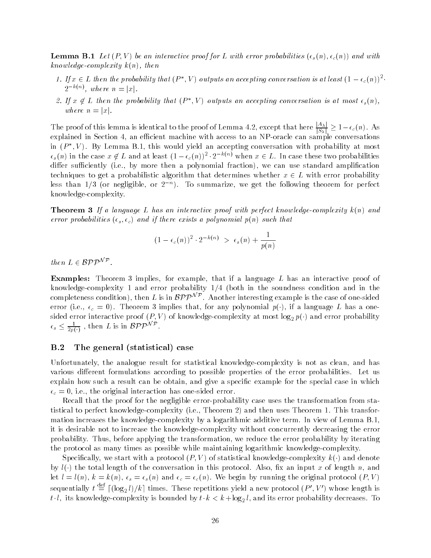Lemma B Let P V be an interactive proof for L with error probabilities -sn -cn and with knowledge-complexity  $k(n)$ , then

- 1. If  $x \in L$  then the probability that  $(P^*, V)$  outputs an accepting conversation is at least  $(1 \epsilon_c(n))$  .  $z \sim u$ , where  $n = |x|$ .
- 2. If  $x \notin L$  then the probability that  $(P_-, V_+)$  outputs an accepting conversation is at most  $\epsilon_s(n)$ , where  $n = |x|$ .

The proof of this lemma is identical to the proof of Lemma 4.2, except that here  $\frac{1-A}{|S_\lambda|} \geq 1-\epsilon_c(n)$ . As explained in Section an ecient machine with access to an NPoracle can sample conversations in  $(F_-,V)$ . By Lemma B.1, this would yield an accepting conversation with probability at most  $\epsilon_s(n)$  in the case  $x \notin L$  and at least  $(1-\epsilon_c(n))$  -  $2^{-(\kappa + \kappa)}$  when  $x \in L$  . In case these two probabilities diagram and the successive then a polynomial fraction we can use the standard and amplitude  $\alpha$ techniques to get a probabilistic algorithm that determines whether  $x \in L$  with error probability less than  $1/\beta$  (or negligible, or  $2$  ). To summarize, we get the following theorem for perfect knowledge-complexity.

**Theorem 3** If a language L has an interactive proof with perfect knowledge-complexity  $k(n)$  and error probabilities and international probabilities of the polynomial probabilities and the polynomial probabi

$$
(1-\epsilon_c(n))^2 \cdot 2^{-k(n)} > \epsilon_s(n) + \frac{1}{p(n)}
$$

then  $L \in \mathcal{BPP}^{\ldots}$ .

**Examples:** Theorem 3 implies, for example, that if a language  $L$  has an interactive proof of knowledgecomplexity and error probability both in the soundness condition and in the completeness condition), then L is in  $\mathcal{BPPN}^{\mathcal{NP}}$ . Another interesting example is the case of one-sided error in the formulation of any polynomial problem in the formulation of the contract of the contract of the co sided error interactive proof P V of knowledgecomplexity at most log p and error probability  $\epsilon_s \leq \frac{1}{2p(.)}$ , then L is in  $\mathcal{BPP}$ .

### **B.2** The general (statistical) case

Unfortunately, the analogue result for statistical knowledge-complexity is not as clean, and has various dimensions according to possible properties of the error probabilities of the error  $\sim$ explain how such a result can be obtain, and give a specific example for the special case in which  $c$  interaction for the original interaction has ones in the original interaction  $c$ 

Recall that the proof for the negligible error-probability case uses the transformation from sta- $\mathbf{r}$  to perfect knowledgecomplexity in the uses Theorem and the uses Theorem uses Theorem uses Theorem uses Theorem uses Theorem uses Theorem uses Theorem uses Theorem uses Theorem uses Theorem uses Theorem uses Theor matrix increases the knowledgecomplexity by a logarithmic additive term  $\mathbf I$ it is desirable not to increase the knowledge-complexity without concurrently decreasing the error probability. Thus, before applying the transformation, we reduce the error probability by iterating the protocol as many times as possible while maintaining logarithmic knowledge-complexity.

Specifically, we start with a protocol  $(P, V)$  of statistical knowledge-complexity  $k(\cdot)$  and denote by  $l(\cdot)$  the total length of the conversation in this protocol. Also, fix an input x of length n, and let ling and by the contraction of the original protocol and the contraction of the contraction of the contract sequentially  $t \equiv |(\log_2 l)/k|$  times. These repetitions yield a new protocol  $(P', V')$  whose length is th its knowledge complexity is bounded by the state  $\log$  its error  $\log$  and  $\log$  probability decreases  $\pi$  To